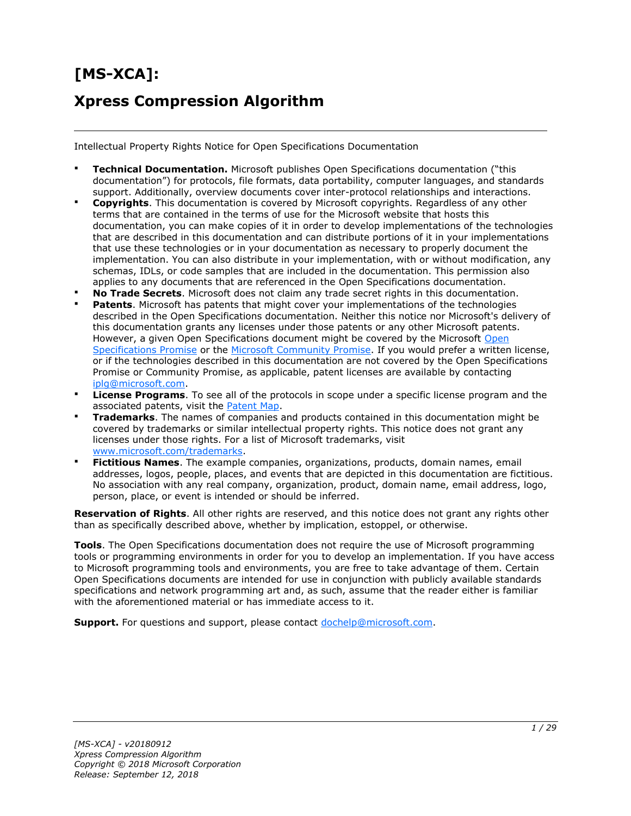# **[MS-XCA]: Xpress Compression Algorithm**

Intellectual Property Rights Notice for Open Specifications Documentation

- **Technical Documentation.** Microsoft publishes Open Specifications documentation ("this documentation") for protocols, file formats, data portability, computer languages, and standards support. Additionally, overview documents cover inter-protocol relationships and interactions.
- **Copyrights**. This documentation is covered by Microsoft copyrights. Regardless of any other terms that are contained in the terms of use for the Microsoft website that hosts this documentation, you can make copies of it in order to develop implementations of the technologies that are described in this documentation and can distribute portions of it in your implementations that use these technologies or in your documentation as necessary to properly document the implementation. You can also distribute in your implementation, with or without modification, any schemas, IDLs, or code samples that are included in the documentation. This permission also applies to any documents that are referenced in the Open Specifications documentation.
- **No Trade Secrets**. Microsoft does not claim any trade secret rights in this documentation.
- **Patents**. Microsoft has patents that might cover your implementations of the technologies described in the Open Specifications documentation. Neither this notice nor Microsoft's delivery of this documentation grants any licenses under those patents or any other Microsoft patents. However, a given [Open](http://go.microsoft.com/fwlink/?LinkId=214445) Specifications document might be covered by the Microsoft Open [Specifications Promise](http://go.microsoft.com/fwlink/?LinkId=214445) or the [Microsoft Community Promise.](https://go.microsoft.com/fwlink/?LinkId=214448) If you would prefer a written license, or if the technologies described in this documentation are not covered by the Open Specifications Promise or Community Promise, as applicable, patent licenses are available by contacting [iplg@microsoft.com.](mailto:iplg@microsoft.com)
- **License Programs**. To see all of the protocols in scope under a specific license program and the associated patents, visit the [Patent Map.](https://msdn.microsoft.com/en-us/openspecifications/dn750984)
- **Trademarks**. The names of companies and products contained in this documentation might be covered by trademarks or similar intellectual property rights. This notice does not grant any licenses under those rights. For a list of Microsoft trademarks, visit [www.microsoft.com/trademarks.](http://www.microsoft.com/trademarks)
- **Fictitious Names**. The example companies, organizations, products, domain names, email addresses, logos, people, places, and events that are depicted in this documentation are fictitious. No association with any real company, organization, product, domain name, email address, logo, person, place, or event is intended or should be inferred.

**Reservation of Rights**. All other rights are reserved, and this notice does not grant any rights other than as specifically described above, whether by implication, estoppel, or otherwise.

**Tools**. The Open Specifications documentation does not require the use of Microsoft programming tools or programming environments in order for you to develop an implementation. If you have access to Microsoft programming tools and environments, you are free to take advantage of them. Certain Open Specifications documents are intended for use in conjunction with publicly available standards specifications and network programming art and, as such, assume that the reader either is familiar with the aforementioned material or has immediate access to it.

**Support.** For questions and support, please contact [dochelp@microsoft.com.](mailto:dochelp@microsoft.com)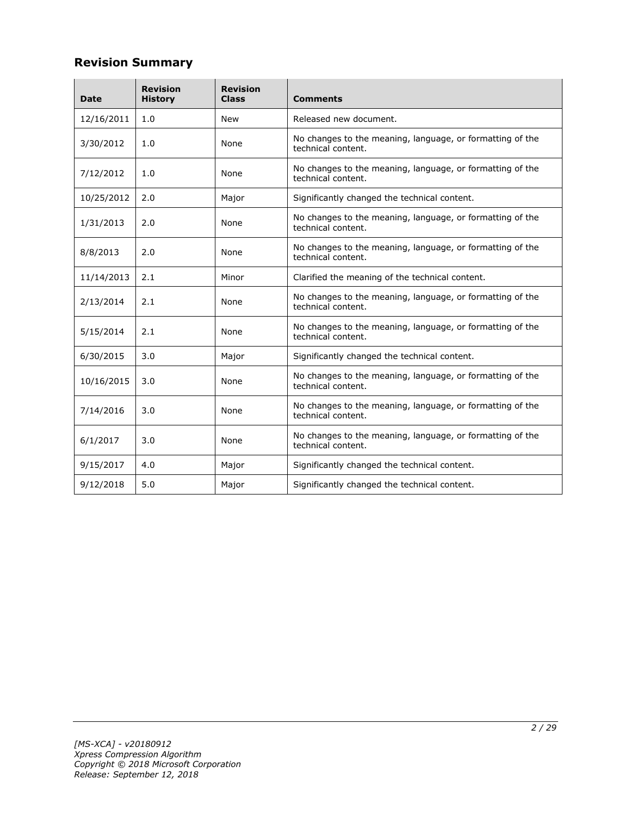# **Revision Summary**

| Date       | <b>Revision</b><br><b>History</b> | <b>Revision</b><br><b>Class</b> | <b>Comments</b>                                                                 |  |  |
|------------|-----------------------------------|---------------------------------|---------------------------------------------------------------------------------|--|--|
| 12/16/2011 | 1.0                               | <b>New</b>                      | Released new document.                                                          |  |  |
| 3/30/2012  | 1.0                               | None                            | No changes to the meaning, language, or formatting of the<br>technical content. |  |  |
| 7/12/2012  | 1.0                               | None                            | No changes to the meaning, language, or formatting of the<br>technical content. |  |  |
| 10/25/2012 | 2.0                               | Major                           | Significantly changed the technical content.                                    |  |  |
| 1/31/2013  | 2.0                               | None                            | No changes to the meaning, language, or formatting of the<br>technical content. |  |  |
| 8/8/2013   | 2.0                               | None                            | No changes to the meaning, language, or formatting of the<br>technical content. |  |  |
| 11/14/2013 | 2.1                               | Minor                           | Clarified the meaning of the technical content.                                 |  |  |
| 2/13/2014  | 2.1                               | None                            | No changes to the meaning, language, or formatting of the<br>technical content. |  |  |
| 5/15/2014  | 2.1                               | None                            | No changes to the meaning, language, or formatting of the<br>technical content. |  |  |
| 6/30/2015  | 3.0                               | Major                           | Significantly changed the technical content.                                    |  |  |
| 10/16/2015 | 3.0                               | None                            | No changes to the meaning, language, or formatting of the<br>technical content. |  |  |
| 7/14/2016  | 3.0                               | None                            | No changes to the meaning, language, or formatting of the<br>technical content. |  |  |
| 6/1/2017   | 3.0                               | None                            | No changes to the meaning, language, or formatting of the<br>technical content. |  |  |
| 9/15/2017  | 4.0                               | Major                           | Significantly changed the technical content.                                    |  |  |
| 9/12/2018  | 5.0                               | Major                           | Significantly changed the technical content.                                    |  |  |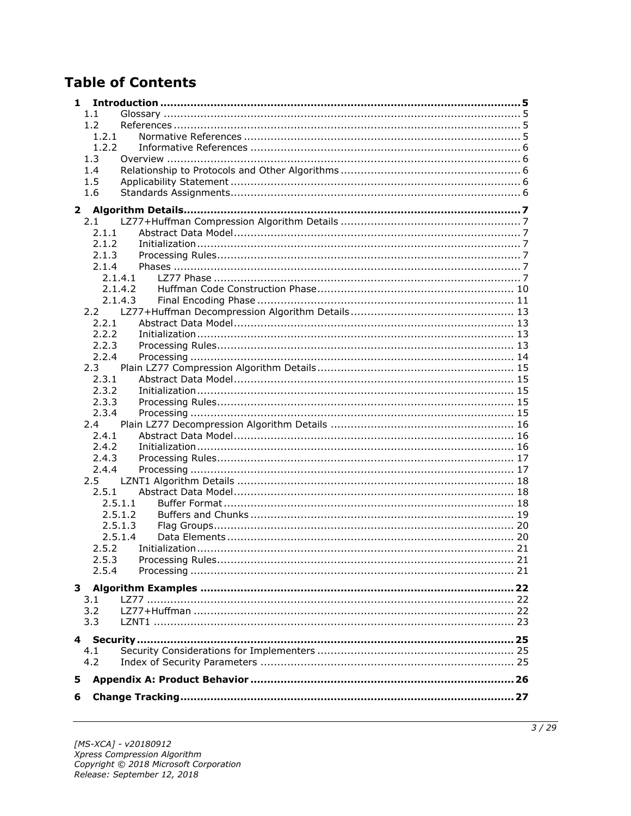# **Table of Contents**

| 1             |                    |  |
|---------------|--------------------|--|
| 1.1           |                    |  |
| 1.2           |                    |  |
|               | 1.2.1              |  |
|               | 1.2.2              |  |
| 1.3           |                    |  |
| 1.4           |                    |  |
| 1.5           |                    |  |
| 1.6           |                    |  |
| $\mathbf{2}$  |                    |  |
| 2.1           |                    |  |
|               | 2.1.1              |  |
|               | 2.1.2              |  |
|               | 2.1.3              |  |
|               | 2.1.4              |  |
|               | 2.1.4.1            |  |
|               | 2.1.4.2            |  |
|               | 2.1.4.3            |  |
|               |                    |  |
|               | 2.2.1              |  |
|               | 2.2.2              |  |
|               | 2.2.3              |  |
|               | 2.2.4              |  |
| 2.3           |                    |  |
| 2.3.1         |                    |  |
|               | 2.3.2              |  |
|               | 2.3.3              |  |
|               | 2.3.4              |  |
| 2.4           |                    |  |
| 2.4.1         |                    |  |
|               | 2.4.2              |  |
|               | 2.4.3              |  |
|               | 2.4.4              |  |
| $2.5^{\circ}$ |                    |  |
|               | 2.5.1              |  |
|               | 2.5.1.1<br>2.5.1.2 |  |
|               | 2.5.1.3            |  |
|               | 2.5.1.4            |  |
|               | 2.5.2              |  |
|               | 2.5.3              |  |
| 2.5.4         |                    |  |
|               |                    |  |
|               |                    |  |
| 3.1           |                    |  |
| 3.2           |                    |  |
| 3.3           |                    |  |
|               |                    |  |
| 4.1           |                    |  |
| 4.2           |                    |  |
|               |                    |  |
| 5             |                    |  |
| 6             |                    |  |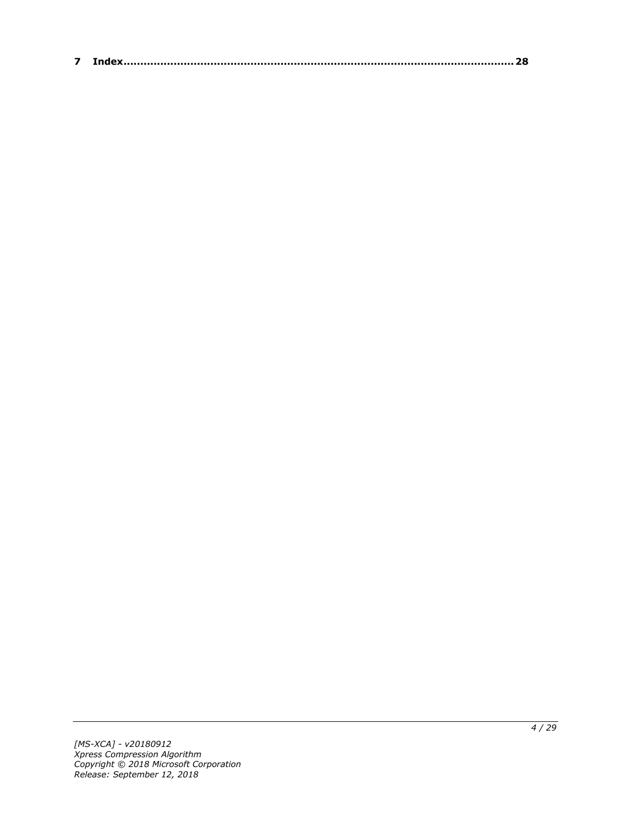| $\sim$ |  |
|--------|--|
|--------|--|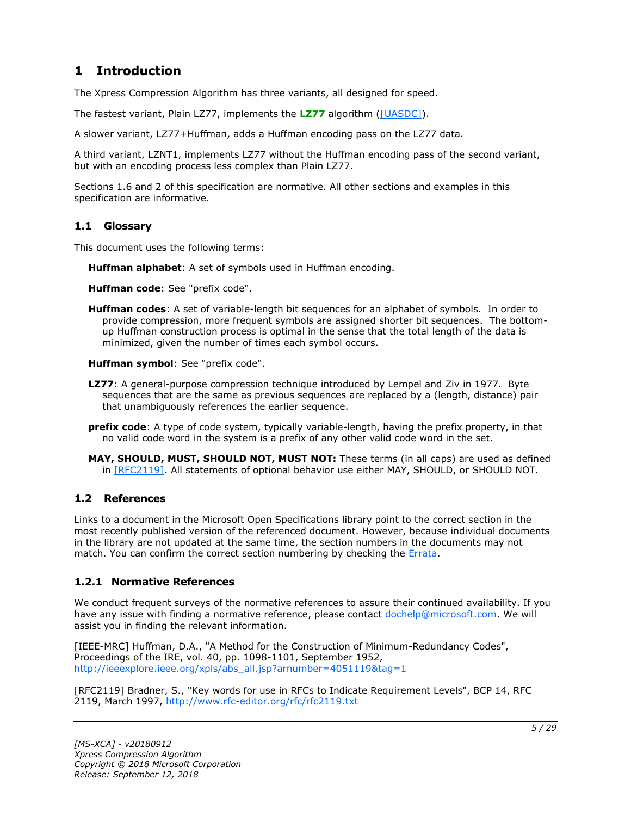# <span id="page-4-0"></span>**1 Introduction**

The Xpress Compression Algorithm has three variants, all designed for speed.

The fastest variant, Plain LZ77, implements the **[LZ77](#page-4-4)** algorithm [\(\[UASDC\]\)](https://go.microsoft.com/fwlink/?LinkId=90549).

A slower variant, LZ77+Huffman, adds a Huffman encoding pass on the LZ77 data.

A third variant, LZNT1, implements LZ77 without the Huffman encoding pass of the second variant, but with an encoding process less complex than Plain LZ77.

Sections 1.6 and 2 of this specification are normative. All other sections and examples in this specification are informative.

### <span id="page-4-1"></span>**1.1 Glossary**

This document uses the following terms:

<span id="page-4-7"></span>**Huffman alphabet**: A set of symbols used in Huffman encoding.

<span id="page-4-8"></span>**Huffman code**: See "prefix code".

<span id="page-4-6"></span>**Huffman codes**: A set of variable-length bit sequences for an alphabet of symbols. In order to provide compression, more frequent symbols are assigned shorter bit sequences. The bottomup Huffman construction process is optimal in the sense that the total length of the data is minimized, given the number of times each symbol occurs.

<span id="page-4-9"></span>**Huffman symbol**: See "prefix code".

- <span id="page-4-4"></span>**LZ77**: A general-purpose compression technique introduced by Lempel and Ziv in 1977. Byte sequences that are the same as previous sequences are replaced by a (length, distance) pair that unambiguously references the earlier sequence.
- <span id="page-4-5"></span>**prefix code**: A type of code system, typically variable-length, having the prefix property, in that no valid code word in the system is a prefix of any other valid code word in the set.
- **MAY, SHOULD, MUST, SHOULD NOT, MUST NOT:** These terms (in all caps) are used as defined in [\[RFC2119\].](https://go.microsoft.com/fwlink/?LinkId=90317) All statements of optional behavior use either MAY, SHOULD, or SHOULD NOT.

# <span id="page-4-2"></span>**1.2 References**

Links to a document in the Microsoft Open Specifications library point to the correct section in the most recently published version of the referenced document. However, because individual documents in the library are not updated at the same time, the section numbers in the documents may not match. You can confirm the correct section numbering by checking the [Errata.](https://go.microsoft.com/fwlink/?linkid=850906)

# <span id="page-4-3"></span>**1.2.1 Normative References**

We conduct frequent surveys of the normative references to assure their continued availability. If you have any issue with finding a normative reference, please contact [dochelp@microsoft.com.](mailto:dochelp@microsoft.com) We will assist you in finding the relevant information.

[IEEE-MRC] Huffman, D.A., "A Method for the Construction of Minimum-Redundancy Codes", Proceedings of the IRE, vol. 40, pp. 1098-1101, September 1952, [http://ieeexplore.ieee.org/xpls/abs\\_all.jsp?arnumber=4051119&tag=1](https://go.microsoft.com/fwlink/?LinkId=227659)

[RFC2119] Bradner, S., "Key words for use in RFCs to Indicate Requirement Levels", BCP 14, RFC 2119, March 1997, [http://www.rfc-editor.org/rfc/rfc2119.txt](https://go.microsoft.com/fwlink/?LinkId=90317)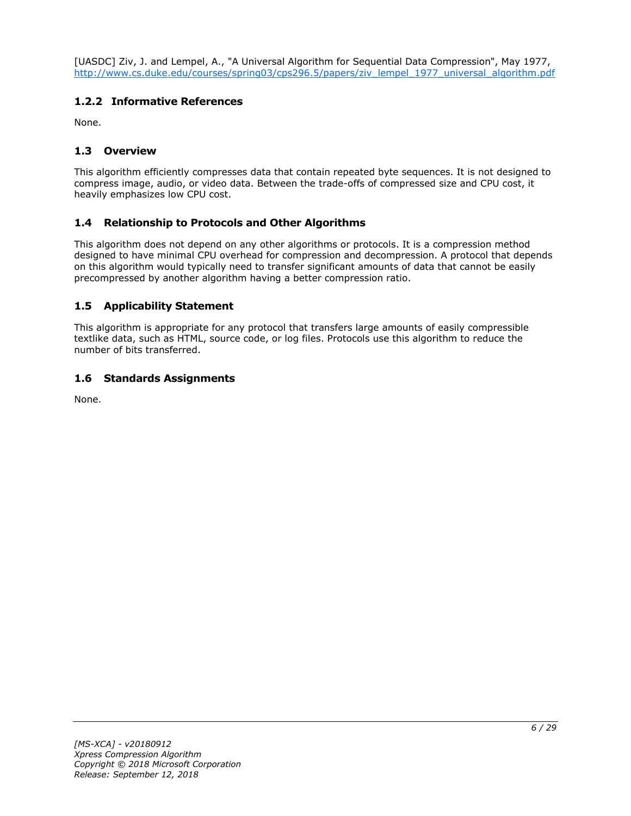[UASDC] Ziv, J. and Lempel, A., "A Universal Algorithm for Sequential Data Compression", May 1977, [http://www.cs.duke.edu/courses/spring03/cps296.5/papers/ziv\\_lempel\\_1977\\_universal\\_algorithm.pdf](https://go.microsoft.com/fwlink/?LinkId=90549)

# <span id="page-5-0"></span>**1.2.2 Informative References**

None.

# <span id="page-5-1"></span>**1.3 Overview**

This algorithm efficiently compresses data that contain repeated byte sequences. It is not designed to compress image, audio, or video data. Between the trade-offs of compressed size and CPU cost, it heavily emphasizes low CPU cost.

# <span id="page-5-2"></span>**1.4 Relationship to Protocols and Other Algorithms**

This algorithm does not depend on any other algorithms or protocols. It is a compression method designed to have minimal CPU overhead for compression and decompression. A protocol that depends on this algorithm would typically need to transfer significant amounts of data that cannot be easily precompressed by another algorithm having a better compression ratio.

# <span id="page-5-3"></span>**1.5 Applicability Statement**

This algorithm is appropriate for any protocol that transfers large amounts of easily compressible textlike data, such as HTML, source code, or log files. Protocols use this algorithm to reduce the number of bits transferred.

# <span id="page-5-4"></span>**1.6 Standards Assignments**

None.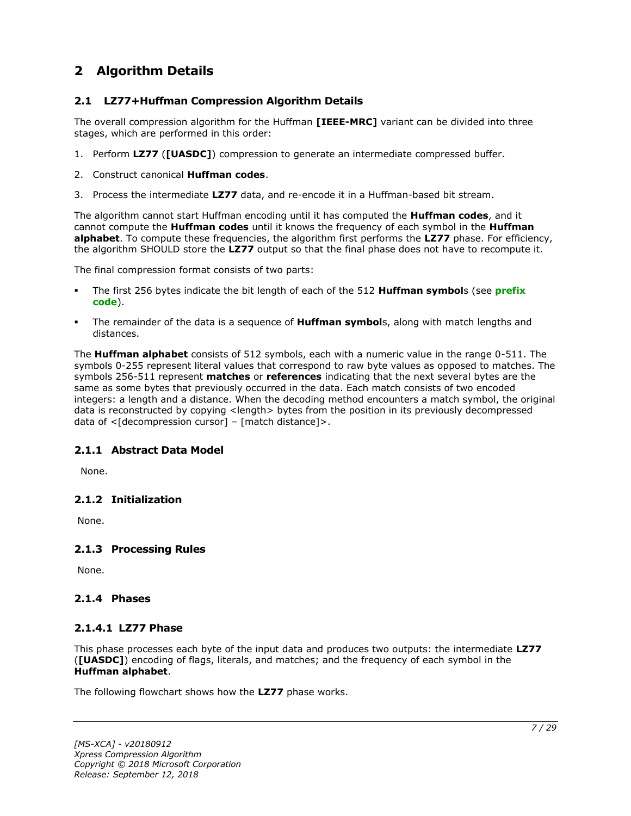# <span id="page-6-0"></span>**2 Algorithm Details**

# <span id="page-6-1"></span>**2.1 LZ77+Huffman Compression Algorithm Details**

The overall compression algorithm for the Huffman **[IEEE-MRC]** variant can be divided into three stages, which are performed in this order:

- 1. Perform **LZ77** (**[UASDC]**) compression to generate an intermediate compressed buffer.
- 2. Construct canonical **Huffman codes**.
- 3. Process the intermediate **LZ77** data, and re-encode it in a Huffman-based bit stream.

The algorithm cannot start Huffman encoding until it has computed the **Huffman codes**, and it cannot compute the **Huffman codes** until it knows the frequency of each symbol in the **Huffman alphabet**. To compute these frequencies, the algorithm first performs the **LZ77** phase. For efficiency, the algorithm SHOULD store the **LZ77** output so that the final phase does not have to recompute it.

The final compression format consists of two parts:

- The first 256 bytes indicate the bit length of each of the 512 **Huffman symbol**s (see **[prefix](#page-4-5)  [code](#page-4-5)**).
- The remainder of the data is a sequence of **Huffman symbol**s, along with match lengths and distances.

The **Huffman alphabet** consists of 512 symbols, each with a numeric value in the range 0-511. The symbols 0-255 represent literal values that correspond to raw byte values as opposed to matches. The symbols 256-511 represent **matches** or **references** indicating that the next several bytes are the same as some bytes that previously occurred in the data. Each match consists of two encoded integers: a length and a distance. When the decoding method encounters a match symbol, the original data is reconstructed by copying <length> bytes from the position in its previously decompressed data of  $\leq$ [decompression cursor] – [match distance]>.

# <span id="page-6-2"></span>**2.1.1 Abstract Data Model**

None.

# <span id="page-6-3"></span>**2.1.2 Initialization**

None.

# <span id="page-6-4"></span>**2.1.3 Processing Rules**

None.

#### <span id="page-6-5"></span>**2.1.4 Phases**

#### <span id="page-6-6"></span>**2.1.4.1 LZ77 Phase**

This phase processes each byte of the input data and produces two outputs: the intermediate **LZ77** (**[UASDC]**) encoding of flags, literals, and matches; and the frequency of each symbol in the **Huffman alphabet**.

The following flowchart shows how the **LZ77** phase works.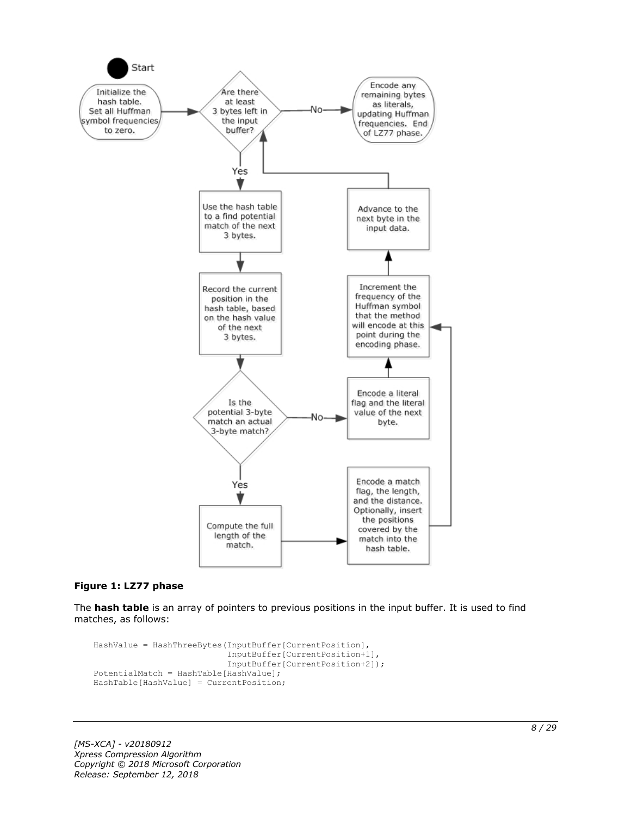

#### **Figure 1: LZ77 phase**

The **hash table** is an array of pointers to previous positions in the input buffer. It is used to find matches, as follows:

```
HashValue = HashThreeBytes(InputBuffer[CurrentPosition],
                            InputBuffer[CurrentPosition+1],
                           InputBuffer[CurrentPosition+2]);
PotentialMatch = HashTable[HashValue];
HashTable[HashValue] = CurrentPosition;
```
*[MS-XCA] - v20180912 Xpress Compression Algorithm Copyright © 2018 Microsoft Corporation Release: September 12, 2018*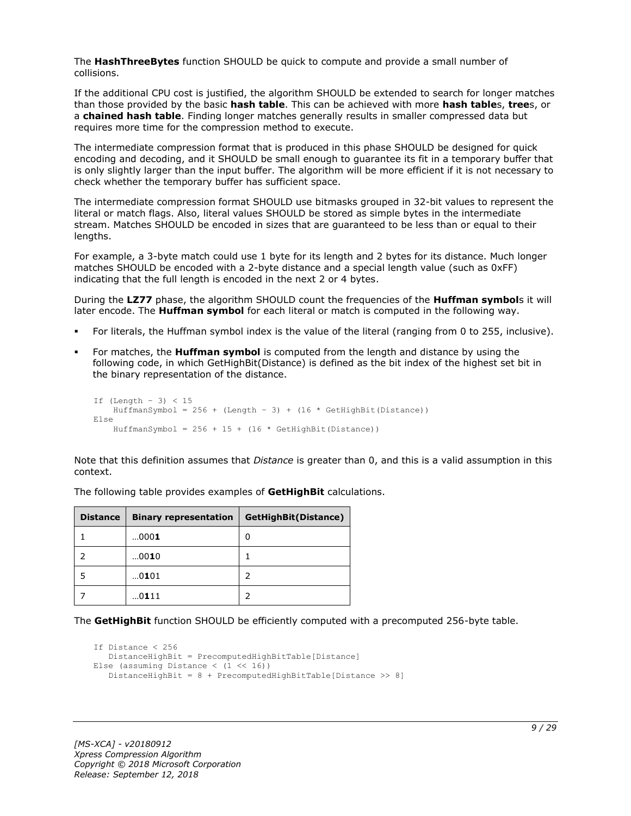The **HashThreeBytes** function SHOULD be quick to compute and provide a small number of collisions.

If the additional CPU cost is justified, the algorithm SHOULD be extended to search for longer matches than those provided by the basic **hash table**. This can be achieved with more **hash table**s, **tree**s, or a **chained hash table**. Finding longer matches generally results in smaller compressed data but requires more time for the compression method to execute.

The intermediate compression format that is produced in this phase SHOULD be designed for quick encoding and decoding, and it SHOULD be small enough to guarantee its fit in a temporary buffer that is only slightly larger than the input buffer. The algorithm will be more efficient if it is not necessary to check whether the temporary buffer has sufficient space.

The intermediate compression format SHOULD use bitmasks grouped in 32-bit values to represent the literal or match flags. Also, literal values SHOULD be stored as simple bytes in the intermediate stream. Matches SHOULD be encoded in sizes that are guaranteed to be less than or equal to their lengths.

For example, a 3-byte match could use 1 byte for its length and 2 bytes for its distance. Much longer matches SHOULD be encoded with a 2-byte distance and a special length value (such as 0xFF) indicating that the full length is encoded in the next 2 or 4 bytes.

During the **LZ77** phase, the algorithm SHOULD count the frequencies of the **Huffman symbol**s it will later encode. The **Huffman symbol** for each literal or match is computed in the following way.

- For literals, the Huffman symbol index is the value of the literal (ranging from 0 to 255, inclusive).
- For matches, the **Huffman symbol** is computed from the length and distance by using the following code, in which GetHighBit(Distance) is defined as the bit index of the highest set bit in the binary representation of the distance.

```
If (Lenqth - 3) < 15HuffmanSymbol = 256 + (Length - 3) + (16 * GetHighBit(Distance))Else
    HuffmanSymbol = 256 + 15 + (16 * \text{GetHighBit}(\text{Distance}))
```
Note that this definition assumes that *Distance* is greater than 0, and this is a valid assumption in this context.

| <b>Distance</b> | <b>Binary representation</b> | GetHighBit(Distance) |
|-----------------|------------------------------|----------------------|
|                 | 0001                         | O                    |
|                 | 0010                         |                      |
|                 | 0101                         |                      |
|                 | 0111                         |                      |

The following table provides examples of **GetHighBit** calculations.

The **GetHighBit** function SHOULD be efficiently computed with a precomputed 256-byte table.

```
If Distance < 256
    DistanceHighBit = PrecomputedHighBitTable[Distance]
Else (assuming Distance \langle (1 \langle 16))
    DistanceHighBit = 8 + PrecomputedHighBitTable[Distance >> 8]
```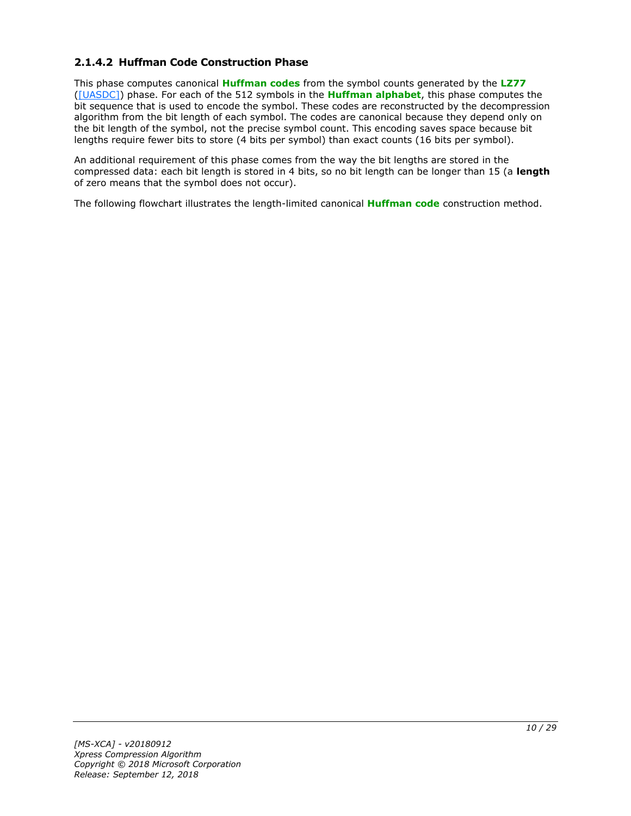# <span id="page-9-0"></span>**2.1.4.2 Huffman Code Construction Phase**

This phase computes canonical **[Huffman codes](#page-4-6)** from the symbol counts generated by the **[LZ77](#page-4-4)** [\(\[UASDC\]\)](https://go.microsoft.com/fwlink/?LinkId=90549) phase. For each of the 512 symbols in the **[Huffman alphabet](#page-4-7)**, this phase computes the bit sequence that is used to encode the symbol. These codes are reconstructed by the decompression algorithm from the bit length of each symbol. The codes are canonical because they depend only on the bit length of the symbol, not the precise symbol count. This encoding saves space because bit lengths require fewer bits to store (4 bits per symbol) than exact counts (16 bits per symbol).

An additional requirement of this phase comes from the way the bit lengths are stored in the compressed data: each bit length is stored in 4 bits, so no bit length can be longer than 15 (a **length** of zero means that the symbol does not occur).

The following flowchart illustrates the length-limited canonical **[Huffman code](#page-4-8)** construction method.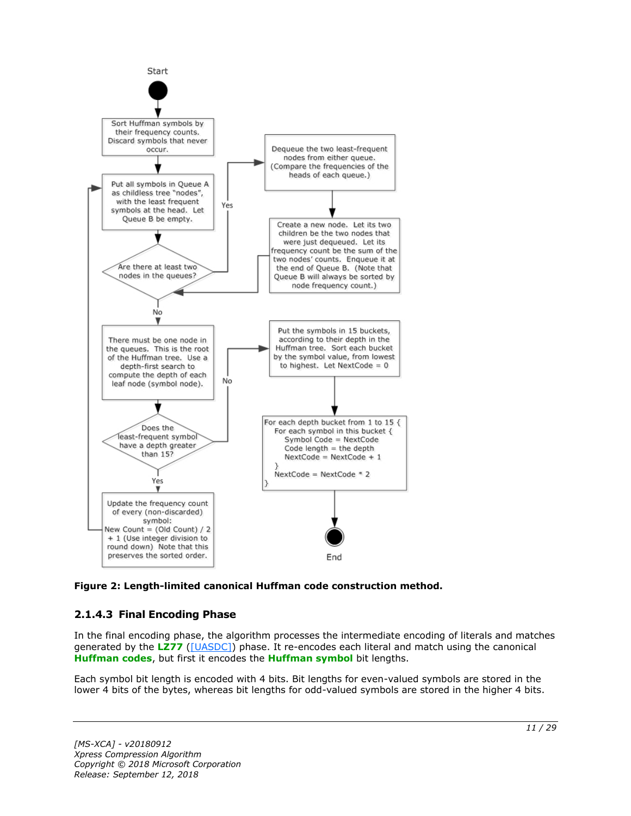

**Figure 2: Length-limited canonical Huffman code construction method.**

# <span id="page-10-0"></span>**2.1.4.3 Final Encoding Phase**

In the final encoding phase, the algorithm processes the intermediate encoding of literals and matches generated by the **[LZ77](#page-4-4)** [\(\[UASDC\]\)](https://go.microsoft.com/fwlink/?LinkId=90549) phase. It re-encodes each literal and match using the canonical **[Huffman codes](#page-4-6)**, but first it encodes the **[Huffman symbol](#page-4-9)** bit lengths.

Each symbol bit length is encoded with 4 bits. Bit lengths for even-valued symbols are stored in the lower 4 bits of the bytes, whereas bit lengths for odd-valued symbols are stored in the higher 4 bits.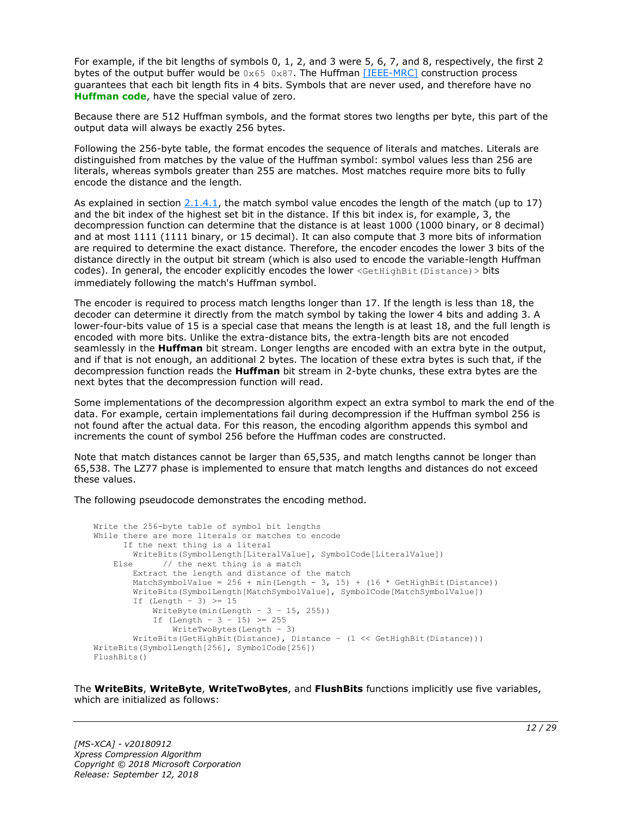For example, if the bit lengths of symbols 0, 1, 2, and 3 were 5, 6, 7, and 8, respectively, the first 2 bytes of the output buffer would be  $0 \times 65$  0x87. The Huffman [\[IEEE-MRC\]](https://go.microsoft.com/fwlink/?LinkId=227659) construction process guarantees that each bit length fits in 4 bits. Symbols that are never used, and therefore have no **[Huffman code](#page-4-8)**, have the special value of zero.

Because there are 512 Huffman symbols, and the format stores two lengths per byte, this part of the output data will always be exactly 256 bytes.

Following the 256-byte table, the format encodes the sequence of literals and matches. Literals are distinguished from matches by the value of the Huffman symbol: symbol values less than 256 are literals, whereas symbols greater than 255 are matches. Most matches require more bits to fully encode the distance and the length.

As explained in section  $2.1.4.1$ , the match symbol value encodes the length of the match (up to 17) and the bit index of the highest set bit in the distance. If this bit index is, for example, 3, the decompression function can determine that the distance is at least 1000 (1000 binary, or 8 decimal) and at most 1111 (1111 binary, or 15 decimal). It can also compute that 3 more bits of information are required to determine the exact distance. Therefore, the encoder encodes the lower 3 bits of the distance directly in the output bit stream (which is also used to encode the variable-length Huffman codes). In general, the encoder explicitly encodes the lower <GetHighBit(Distance) > bits immediately following the match's Huffman symbol.

The encoder is required to process match lengths longer than 17. If the length is less than 18, the decoder can determine it directly from the match symbol by taking the lower 4 bits and adding 3. A lower-four-bits value of 15 is a special case that means the length is at least 18, and the full length is encoded with more bits. Unlike the extra-distance bits, the extra-length bits are not encoded seamlessly in the **Huffman** bit stream. Longer lengths are encoded with an extra byte in the output, and if that is not enough, an additional 2 bytes. The location of these extra bytes is such that, if the decompression function reads the **Huffman** bit stream in 2-byte chunks, these extra bytes are the next bytes that the decompression function will read.

Some implementations of the decompression algorithm expect an extra symbol to mark the end of the data. For example, certain implementations fail during decompression if the Huffman symbol 256 is not found after the actual data. For this reason, the encoding algorithm appends this symbol and increments the count of symbol 256 before the Huffman codes are constructed.

Note that match distances cannot be larger than 65,535, and match lengths cannot be longer than 65,538. The LZ77 phase is implemented to ensure that match lengths and distances do not exceed these values.

The following pseudocode demonstrates the encoding method.

```
Write the 256-byte table of symbol bit lengths
While there are more literals or matches to encode
       If the next thing is a literal
         WriteBits(SymbolLength[LiteralValue], SymbolCode[LiteralValue])
    Else // the next thing is a match
         Extract the length and distance of the match
        MatchSymbolValue = 256 + min(Length - 3, 15) + (16 * GetHighBit(Distance)) WriteBits(SymbolLength[MatchSymbolValue], SymbolCode[MatchSymbolValue])
        If (Length - 3) \geq 15
            WriteByte(min(Length - 3 - 15, 255))
            If (Length - 3 - 15) >= 255
                WriteTwoBytes(Length – 3)
         WriteBits(GetHighBit(Distance), Distance – (1 << GetHighBit(Distance)))
WriteBits(SymbolLength[256], SymbolCode[256])
FlushBits()
```
The **WriteBits**, **WriteByte**, **WriteTwoBytes**, and **FlushBits** functions implicitly use five variables, which are initialized as follows: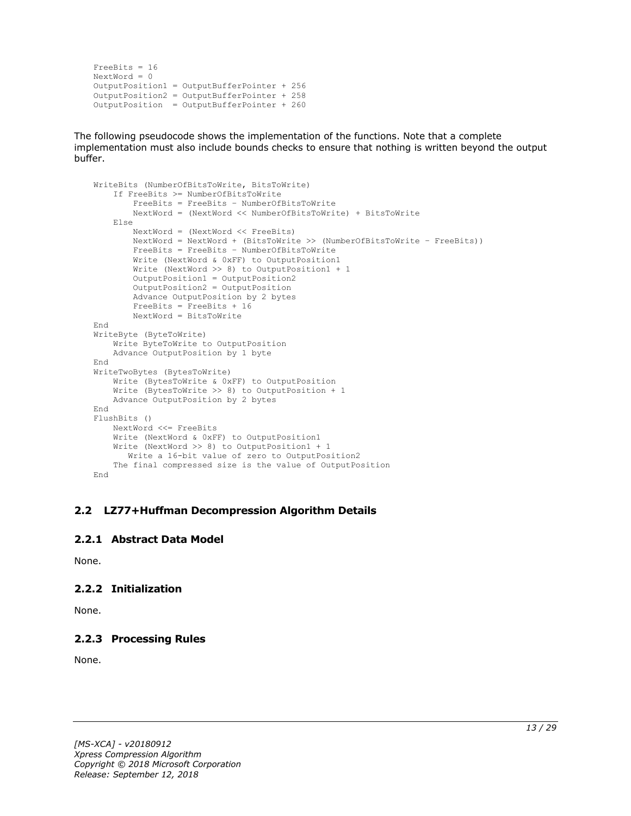```
FreeBits = 16
NextWord = 0
OutputPosition1 = OutputBufferPointer + 256
OutputPosition2 = OutputBufferPointer + 258 
OutputPosition = OutputBufferPointer + 260
```
The following pseudocode shows the implementation of the functions. Note that a complete implementation must also include bounds checks to ensure that nothing is written beyond the output buffer.

```
WriteBits (NumberOfBitsToWrite, BitsToWrite)
     If FreeBits >= NumberOfBitsToWrite
         FreeBits = FreeBits – NumberOfBitsToWrite
         NextWord = (NextWord << NumberOfBitsToWrite) + BitsToWrite
     Else
         NextWord = (NextWord << FreeBits)
         NextWord = NextWord + (BitsToWrite >> (NumberOfBitsToWrite – FreeBits))
         FreeBits = FreeBits – NumberOfBitsToWrite
         Write (NextWord & 0xFF) to OutputPosition1
         Write (NextWord >> 8) to OutputPosition1 + 1
         OutputPosition1 = OutputPosition2
         OutputPosition2 = OutputPosition
         Advance OutputPosition by 2 bytes
         FreeBits = FreeBits + 16
         NextWord = BitsToWrite
End
WriteByte (ByteToWrite)
    Write ByteToWrite to OutputPosition
     Advance OutputPosition by 1 byte
End
WriteTwoBytes (BytesToWrite)
     Write (BytesToWrite & 0xFF) to OutputPosition
     Write (BytesToWrite >> 8) to OutputPosition + 1
    Advance OutputPosition by 2 bytes
End
FlushBits ()
     NextWord <<= FreeBits
     Write (NextWord & 0xFF) to OutputPosition1
     Write (NextWord >> 8) to OutputPosition1 + 1
       Write a 16-bit value of zero to OutputPosition2
     The final compressed size is the value of OutputPosition
End
```
#### <span id="page-12-0"></span>**2.2 LZ77+Huffman Decompression Algorithm Details**

#### <span id="page-12-1"></span>**2.2.1 Abstract Data Model**

None.

# <span id="page-12-2"></span>**2.2.2 Initialization**

None.

# <span id="page-12-3"></span>**2.2.3 Processing Rules**

None.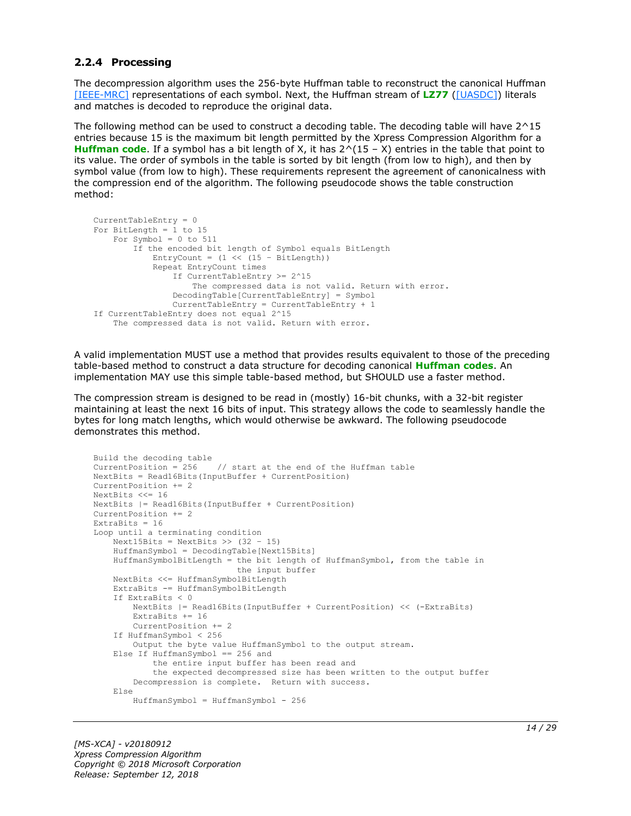#### <span id="page-13-0"></span>**2.2.4 Processing**

The decompression algorithm uses the 256-byte Huffman table to reconstruct the canonical Huffman [\[IEEE-MRC\]](https://go.microsoft.com/fwlink/?LinkId=227659) representations of each symbol. Next, the Huffman stream of **[LZ77](#page-4-4)** [\(\[UASDC\]\)](https://go.microsoft.com/fwlink/?LinkId=90549) literals and matches is decoded to reproduce the original data.

The following method can be used to construct a decoding table. The decoding table will have 2^15 entries because 15 is the maximum bit length permitted by the Xpress Compression Algorithm for a **[Huffman code](#page-4-8)**. If a symbol has a bit length of X, it has 2^(15 – X) entries in the table that point to its value. The order of symbols in the table is sorted by bit length (from low to high), and then by symbol value (from low to high). These requirements represent the agreement of canonicalness with the compression end of the algorithm. The following pseudocode shows the table construction method:

```
CurrentTableEntry = 0
For BitLength = 1 to 15
     For Symbol = 0 to 511
         If the encoded bit length of Symbol equals BitLength
            EntryCount = (1 \ll (15 - \text{BitLength})) Repeat EntryCount times
                 If CurrentTableEntry >= 2^15
                     The compressed data is not valid. Return with error.
                 DecodingTable[CurrentTableEntry] = Symbol
                 CurrentTableEntry = CurrentTableEntry + 1
If CurrentTableEntry does not equal 2^15
     The compressed data is not valid. Return with error.
```
A valid implementation MUST use a method that provides results equivalent to those of the preceding table-based method to construct a data structure for decoding canonical **[Huffman codes](#page-4-6)**. An implementation MAY use this simple table-based method, but SHOULD use a faster method.

The compression stream is designed to be read in (mostly) 16-bit chunks, with a 32-bit register maintaining at least the next 16 bits of input. This strategy allows the code to seamlessly handle the bytes for long match lengths, which would otherwise be awkward. The following pseudocode demonstrates this method.

```
Build the decoding table
CurrentPosition = 256 // start at the end of the Huffman table
NextBits = Read16Bits(InputBuffer + CurrentPosition)
CurrentPosition += 2
NextBits <<= 16
NextBits |= Read16Bits(InputBuffer + CurrentPosition)
CurrentPosition += 2
ExtraBits = 16Loop until a terminating condition
    Next15Bits = NextBits \gg (32 - 15)
     HuffmanSymbol = DecodingTable[Next15Bits]
     HuffmanSymbolBitLength = the bit length of HuffmanSymbol, from the table in
                              the input buffer
     NextBits <<= HuffmanSymbolBitLength
     ExtraBits -= HuffmanSymbolBitLength
     If ExtraBits < 0
         NextBits |= Read16Bits(InputBuffer + CurrentPosition) << (-ExtraBits)
         ExtraBits += 16
         CurrentPosition += 2
     If HuffmanSymbol < 256
        Output the byte value HuffmanSymbol to the output stream.
     Else If HuffmanSymbol == 256 and
             the entire input buffer has been read and
             the expected decompressed size has been written to the output buffer
         Decompression is complete. Return with success.
     Else
         HuffmanSymbol = HuffmanSymbol - 256
```
*[MS-XCA] - v20180912 Xpress Compression Algorithm Copyright © 2018 Microsoft Corporation Release: September 12, 2018*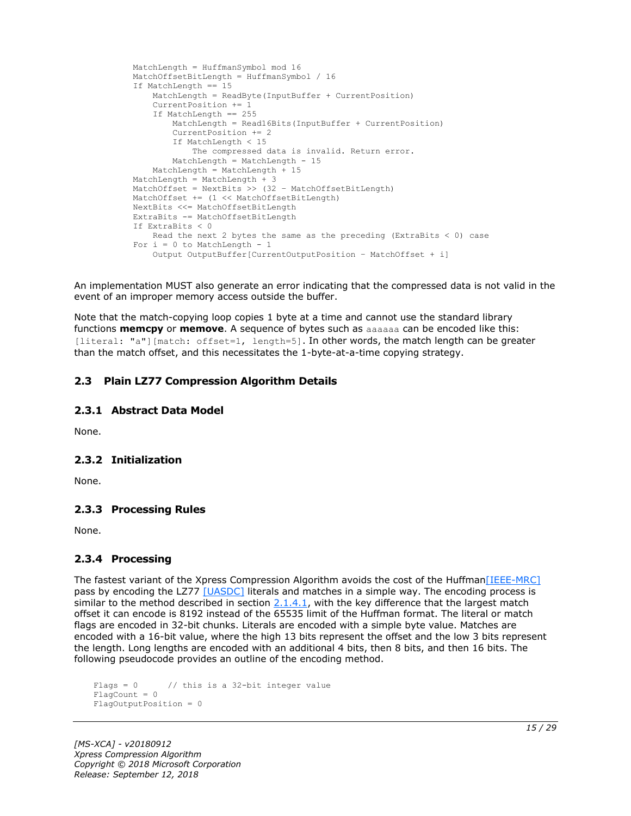```
 MatchLength = HuffmanSymbol mod 16
 MatchOffsetBitLength = HuffmanSymbol / 16
 If MatchLength == 15
    MatchLength = ReadByte(InputBuffer + CurrentPosition)
     CurrentPosition += 1
     If MatchLength == 255
        MatchLength = Read16Bits(InputBuffer + CurrentPosition)
         CurrentPosition += 2
         If MatchLength < 15
             The compressed data is invalid. Return error.
       MatchLength = MatchLength - 15
     MatchLength = MatchLength + 15
 MatchLength = MatchLength + 3
MatchOffset = NextBits >> (32 - \text{MatchOffsetBitLength}) MatchOffset += (1 << MatchOffsetBitLength)
 NextBits <<= MatchOffsetBitLength
 ExtraBits -= MatchOffsetBitLength
 If ExtraBits < 0
    Read the next 2 bytes the same as the preceding (ExtraBits < 0) case
For i = 0 to MatchLength - 1
     Output OutputBuffer[CurrentOutputPosition – MatchOffset + i]
```
An implementation MUST also generate an error indicating that the compressed data is not valid in the event of an improper memory access outside the buffer.

Note that the match-copying loop copies 1 byte at a time and cannot use the standard library functions **memcpy** or **memove**. A sequence of bytes such as aaaaaa can be encoded like this: [literal: "a"][match: offset=1, length=5]. In other words, the match length can be greater than the match offset, and this necessitates the 1-byte-at-a-time copying strategy.

### <span id="page-14-0"></span>**2.3 Plain LZ77 Compression Algorithm Details**

#### <span id="page-14-1"></span>**2.3.1 Abstract Data Model**

None.

#### <span id="page-14-2"></span>**2.3.2 Initialization**

None.

#### <span id="page-14-3"></span>**2.3.3 Processing Rules**

None.

#### <span id="page-14-4"></span>**2.3.4 Processing**

The fastest variant of the Xpress Compression Algorithm avoids the cost of the Huffman [IEEE-MRC] pass by encoding the LZ77 [\[UASDC\]](https://go.microsoft.com/fwlink/?LinkId=90549) literals and matches in a simple way. The encoding process is similar to the method described in section  $2.1.4.1$ , with the key difference that the largest match offset it can encode is 8192 instead of the 65535 limit of the Huffman format. The literal or match flags are encoded in 32-bit chunks. Literals are encoded with a simple byte value. Matches are encoded with a 16-bit value, where the high 13 bits represent the offset and the low 3 bits represent the length. Long lengths are encoded with an additional 4 bits, then 8 bits, and then 16 bits. The following pseudocode provides an outline of the encoding method.

```
Flags = 0 // this is a 32-bit integer value
Fla<sub>0</sub>Count = 0
FlagOutputPosition = 0
```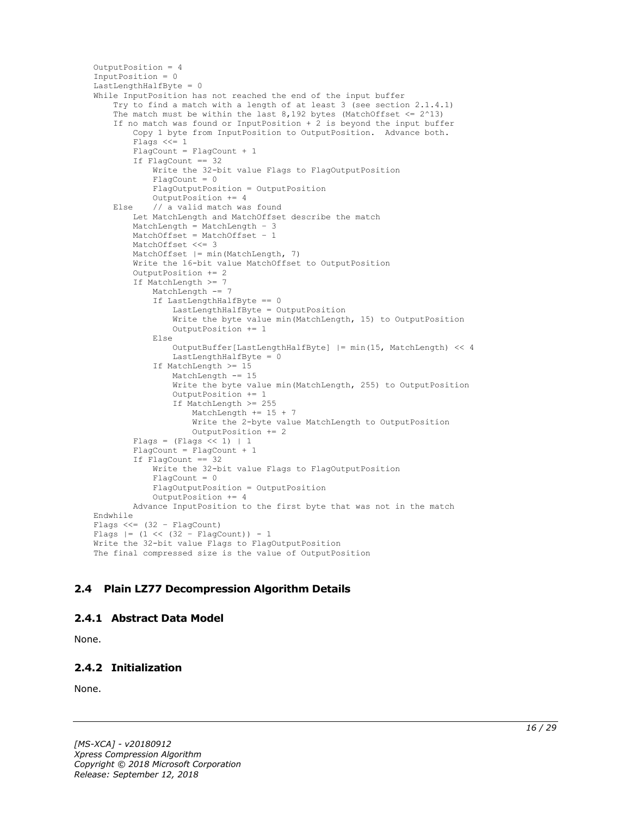```
OutputPosition = 4
InputPosition = 0
LastLengthHalfByte = 0
While InputPosition has not reached the end of the input buffer
     Try to find a match with a length of at least 3 (see section 2.1.4.1)
    The match must be within the last 8,192 bytes (MatchOffset \leq 2^13)
     If no match was found or InputPosition + 2 is beyond the input buffer
         Copy 1 byte from InputPosition to OutputPosition. Advance both.
         Flags <<= 1
        FlagCount = FlagCount + 1 If FlagCount == 32
            Write the 32-bit value Flags to FlagOutputPosition
             FlagCount = 0
             FlagOutputPosition = OutputPosition
             OutputPosition += 4
     Else // a valid match was found
         Let MatchLength and MatchOffset describe the match
         MatchLength = MatchLength – 3
         MatchOffset = MatchOffset – 1
         MatchOffset <<= 3
         MatchOffset |= min(MatchLength, 7)
         Write the 16-bit value MatchOffset to OutputPosition
         OutputPosition += 2
         If MatchLength >= 7
             MatchLength -= 7
             If LastLengthHalfByte == 0
                 LastLengthHalfByte = OutputPosition
                Write the byte value min(MatchLength, 15) to OutputPosition
                 OutputPosition += 1
             Else
                 OutputBuffer[LastLengthHalfByte] |= min(15, MatchLength) << 4
                 LastLengthHalfByte = 0
             If MatchLength >= 15
                 MatchLength -= 15
                 Write the byte value min(MatchLength, 255) to OutputPosition
                 OutputPosition += 1
                If MatchLength >= 255
                     MatchLength += 15 + 7
                    Write the 2-byte value MatchLength to OutputPosition
                     OutputPosition += 2
        Flags = (Flags << 1) | 1 FlagCount = FlagCount + 1
         If FlagCount == 32
             Write the 32-bit value Flags to FlagOutputPosition
            FlaqCount = 0
             FlagOutputPosition = OutputPosition
             OutputPosition += 4
         Advance InputPosition to the first byte that was not in the match
Endwhile
Flags <<= (32 – FlagCount)
Flags |= (1 \lt\lt (32 - \text{FlagCount})) - 1Write the 32-bit value Flags to FlagOutputPosition
The final compressed size is the value of OutputPosition
```
# <span id="page-15-0"></span>**2.4 Plain LZ77 Decompression Algorithm Details**

#### <span id="page-15-1"></span>**2.4.1 Abstract Data Model**

None.

# <span id="page-15-2"></span>**2.4.2 Initialization**

None.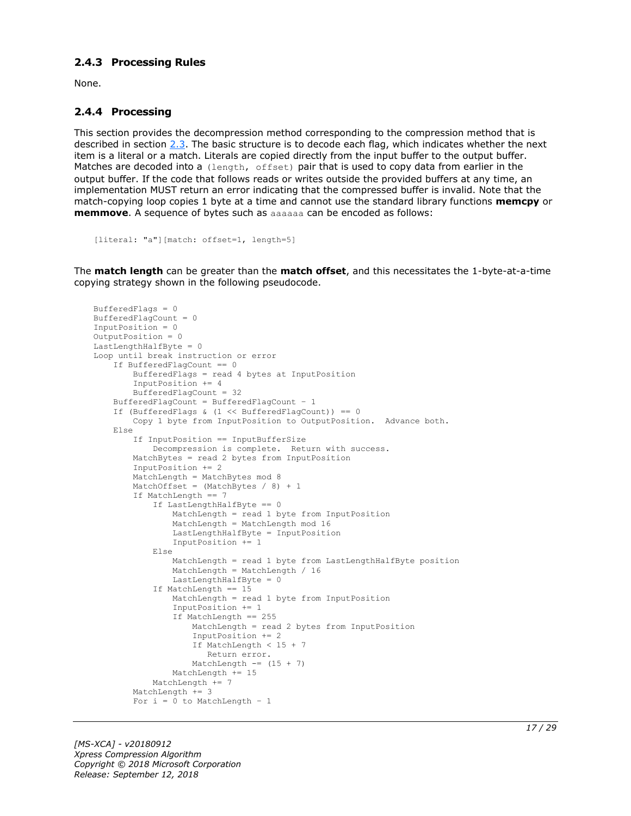#### <span id="page-16-0"></span>**2.4.3 Processing Rules**

None.

#### <span id="page-16-1"></span>**2.4.4 Processing**

This section provides the decompression method corresponding to the compression method that is described in section [2.3.](#page-14-0) The basic structure is to decode each flag, which indicates whether the next item is a literal or a match. Literals are copied directly from the input buffer to the output buffer. Matches are decoded into a (length, offset) pair that is used to copy data from earlier in the output buffer. If the code that follows reads or writes outside the provided buffers at any time, an implementation MUST return an error indicating that the compressed buffer is invalid. Note that the match-copying loop copies 1 byte at a time and cannot use the standard library functions **memcpy** or **memmove**. A sequence of bytes such as aaaaaa can be encoded as follows:

```
[literal: "a"][match: offset=1, length=5]
```
The **match length** can be greater than the **match offset**, and this necessitates the 1-byte-at-a-time copying strategy shown in the following pseudocode.

```
BufferedFlags = 0
BufferedFlagCount = 0
InputPosition = 0
OutputPosition = 0
LastLengthHalfByte = 0Loop until break instruction or error
     If BufferedFlagCount == 0
         BufferedFlags = read 4 bytes at InputPosition
         InputPosition += 4
         BufferedFlagCount = 32
     BufferedFlagCount = BufferedFlagCount – 1
    If (BufferedFlags & (1 \leq \text{BufferedFlagCount})) == 0
         Copy 1 byte from InputPosition to OutputPosition. Advance both.
     Else
         If InputPosition == InputBufferSize
             Decompression is complete. Return with success.
         MatchBytes = read 2 bytes from InputPosition
         InputPosition += 2
        MatchLength = MatchBytes mod 8
        MatchOffset = (MatchBytes / 8) + 1 If MatchLength == 7
             If LastLengthHalfByte == 0
                 MatchLength = read 1 byte from InputPosition
                 MatchLength = MatchLength mod 16
                LastLengthHalfByte = InputPosition
                 InputPosition += 1
             Else
                 MatchLength = read 1 byte from LastLengthHalfByte position
                 MatchLength = MatchLength / 16
                LastLengthHalfByte = 0
             If MatchLength == 15
                 MatchLength = read 1 byte from InputPosition
                 InputPosition += 1
                If MatchLength == 255
                     MatchLength = read 2 bytes from InputPosition
                    InputPosition += 2
                     If MatchLength < 15 + 7
                       Return error.
                    MatchLength == (15 + 7)
                MathLength += 15 MatchLength += 7
        MatchLength += 3
        For i = 0 to MatchLength - 1
```
*[MS-XCA] - v20180912 Xpress Compression Algorithm Copyright © 2018 Microsoft Corporation Release: September 12, 2018*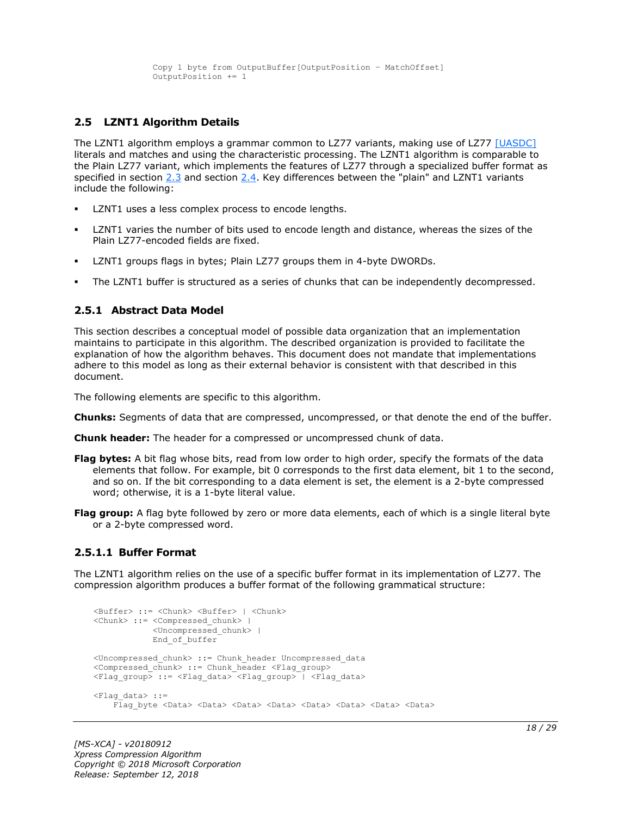```
 Copy 1 byte from OutputBuffer[OutputPosition – MatchOffset]
 OutputPosition += 1
```
### <span id="page-17-0"></span>**2.5 LZNT1 Algorithm Details**

The LZNT1 algorithm employs a grammar common to LZ77 variants, making use of LZ77 [\[UASDC\]](https://go.microsoft.com/fwlink/?LinkId=90549) literals and matches and using the characteristic processing. The LZNT1 algorithm is comparable to the Plain LZ77 variant, which implements the features of LZ77 through a specialized buffer format as specified in section [2.3](#page-14-0) and section [2.4.](#page-15-0) Key differences between the "plain" and LZNT1 variants include the following:

- LZNT1 uses a less complex process to encode lengths.
- LZNT1 varies the number of bits used to encode length and distance, whereas the sizes of the Plain LZ77-encoded fields are fixed.
- LZNT1 groups flags in bytes; Plain LZ77 groups them in 4-byte DWORDs.
- The LZNT1 buffer is structured as a series of chunks that can be independently decompressed.

#### <span id="page-17-1"></span>**2.5.1 Abstract Data Model**

This section describes a conceptual model of possible data organization that an implementation maintains to participate in this algorithm. The described organization is provided to facilitate the explanation of how the algorithm behaves. This document does not mandate that implementations adhere to this model as long as their external behavior is consistent with that described in this document.

The following elements are specific to this algorithm.

- **Chunks:** Segments of data that are compressed, uncompressed, or that denote the end of the buffer.
- **Chunk header:** The header for a compressed or uncompressed chunk of data.
- **Flag bytes:** A bit flag whose bits, read from low order to high order, specify the formats of the data elements that follow. For example, bit 0 corresponds to the first data element, bit 1 to the second, and so on. If the bit corresponding to a data element is set, the element is a 2-byte compressed word; otherwise, it is a 1-byte literal value.
- **Flag group:** A flag byte followed by zero or more data elements, each of which is a single literal byte or a 2-byte compressed word.

#### <span id="page-17-2"></span>**2.5.1.1 Buffer Format**

The LZNT1 algorithm relies on the use of a specific buffer format in its implementation of LZ77. The compression algorithm produces a buffer format of the following grammatical structure:

```
<Buffer> ::= <Chunk> <Buffer> | <Chunk>
<Chunk> ::= <Compressed_chunk> | 
             <Uncompressed_chunk> |
             End_of_buffer
<Uncompressed_chunk> ::= Chunk_header Uncompressed_data
<Compressed chunk> ::= Chunk header <Flag_group>
<Flag_group> ::= <Flag_data> <Flag_group> | <Flag_data>
<Flag_data> ::=
    Flag byte <Data> <Data> <Data> <Data> <Data> <Data> <Data> <Data> <Data> <Data>
```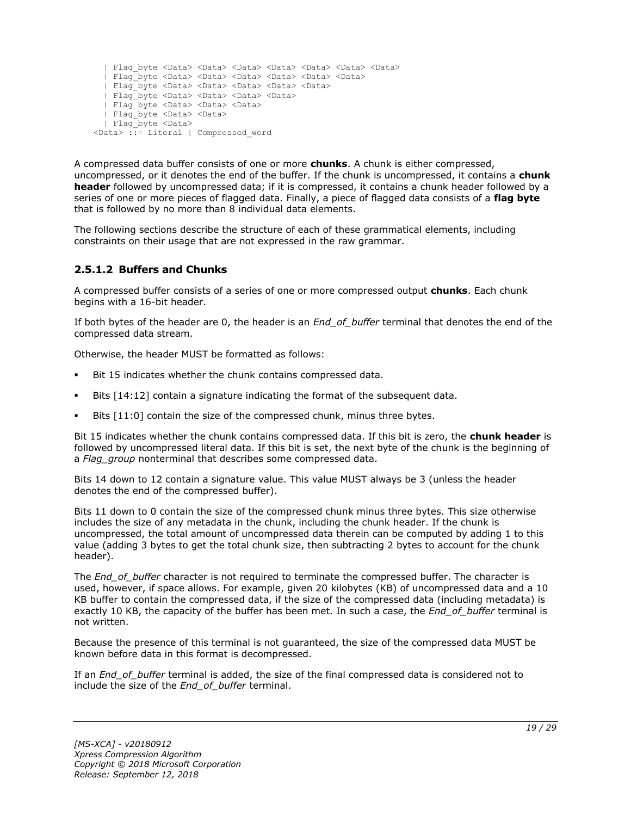```
 | Flag_byte <Data> <Data> <Data> <Data> <Data> <Data> <Data>
   | Flag_byte <Data> <Data> <Data> <Data> <Data> <Data>
   | Flag_byte <Data> <Data> <Data> <Data> <Data>
   | Flag_byte <Data> <Data> <Data> <Data>
   | Flag_byte <Data> <Data> <Data> 
   | Flag_byte <Data> <Data>
   | Flag_byte <Data> 
<Data> ::= Literal | Compressed_word
```
A compressed data buffer consists of one or more **chunks**. A chunk is either compressed, uncompressed, or it denotes the end of the buffer. If the chunk is uncompressed, it contains a **chunk header** followed by uncompressed data; if it is compressed, it contains a chunk header followed by a series of one or more pieces of flagged data. Finally, a piece of flagged data consists of a **flag byte** that is followed by no more than 8 individual data elements.

The following sections describe the structure of each of these grammatical elements, including constraints on their usage that are not expressed in the raw grammar.

# <span id="page-18-0"></span>**2.5.1.2 Buffers and Chunks**

A compressed buffer consists of a series of one or more compressed output **chunks**. Each chunk begins with a 16-bit header.

If both bytes of the header are 0, the header is an *End\_of\_buffer* terminal that denotes the end of the compressed data stream.

Otherwise, the header MUST be formatted as follows:

- Bit 15 indicates whether the chunk contains compressed data.
- Bits [14:12] contain a signature indicating the format of the subsequent data.
- Bits [11:0] contain the size of the compressed chunk, minus three bytes.

Bit 15 indicates whether the chunk contains compressed data. If this bit is zero, the **chunk header** is followed by uncompressed literal data. If this bit is set, the next byte of the chunk is the beginning of a *Flag\_group* nonterminal that describes some compressed data.

Bits 14 down to 12 contain a signature value. This value MUST always be 3 (unless the header denotes the end of the compressed buffer).

Bits 11 down to 0 contain the size of the compressed chunk minus three bytes. This size otherwise includes the size of any metadata in the chunk, including the chunk header. If the chunk is uncompressed, the total amount of uncompressed data therein can be computed by adding 1 to this value (adding 3 bytes to get the total chunk size, then subtracting 2 bytes to account for the chunk header).

The *End\_of\_buffer* character is not required to terminate the compressed buffer. The character is used, however, if space allows. For example, given 20 kilobytes (KB) of uncompressed data and a 10 KB buffer to contain the compressed data, if the size of the compressed data (including metadata) is exactly 10 KB, the capacity of the buffer has been met. In such a case, the *End\_of\_buffer* terminal is not written.

Because the presence of this terminal is not guaranteed, the size of the compressed data MUST be known before data in this format is decompressed.

If an *End\_of\_buffer* terminal is added, the size of the final compressed data is considered not to include the size of the *End\_of\_buffer* terminal.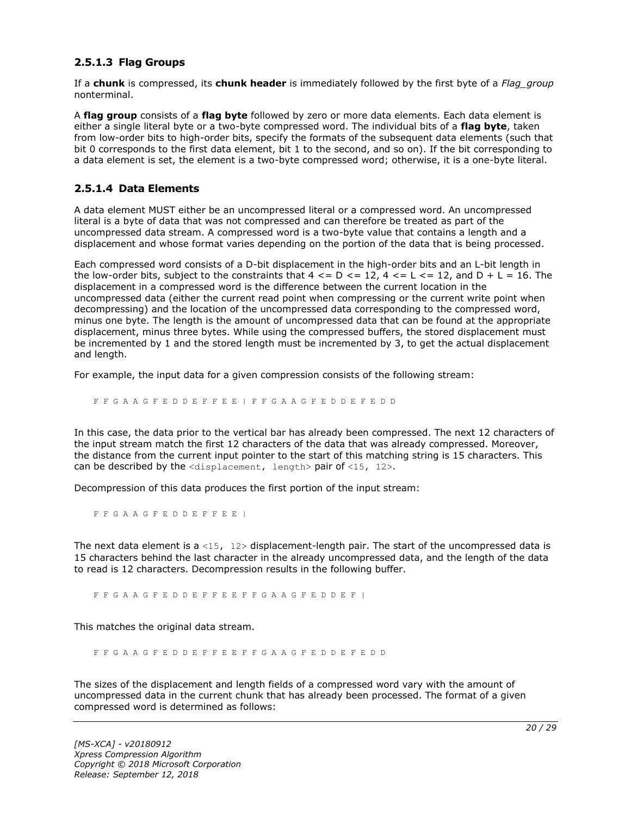#### <span id="page-19-0"></span>**2.5.1.3 Flag Groups**

If a **chunk** is compressed, its **chunk header** is immediately followed by the first byte of a *Flag\_group* nonterminal.

A **flag group** consists of a **flag byte** followed by zero or more data elements. Each data element is either a single literal byte or a two-byte compressed word. The individual bits of a **flag byte**, taken from low-order bits to high-order bits, specify the formats of the subsequent data elements (such that bit 0 corresponds to the first data element, bit 1 to the second, and so on). If the bit corresponding to a data element is set, the element is a two-byte compressed word; otherwise, it is a one-byte literal.

#### <span id="page-19-1"></span>**2.5.1.4 Data Elements**

A data element MUST either be an uncompressed literal or a compressed word. An uncompressed literal is a byte of data that was not compressed and can therefore be treated as part of the uncompressed data stream. A compressed word is a two-byte value that contains a length and a displacement and whose format varies depending on the portion of the data that is being processed.

Each compressed word consists of a D-bit displacement in the high-order bits and an L-bit length in the low-order bits, subject to the constraints that  $4 \leq D \leq 12$ ,  $4 \leq L \leq 12$ , and  $D + L = 16$ . The displacement in a compressed word is the difference between the current location in the uncompressed data (either the current read point when compressing or the current write point when decompressing) and the location of the uncompressed data corresponding to the compressed word, minus one byte. The length is the amount of uncompressed data that can be found at the appropriate displacement, minus three bytes. While using the compressed buffers, the stored displacement must be incremented by 1 and the stored length must be incremented by 3, to get the actual displacement and length.

For example, the input data for a given compression consists of the following stream:

F F G A A G F E D D E F F E E | F F G A A G F E D D E F E D D

In this case, the data prior to the vertical bar has already been compressed. The next 12 characters of the input stream match the first 12 characters of the data that was already compressed. Moreover, the distance from the current input pointer to the start of this matching string is 15 characters. This can be described by the  $\langle$ displacement, length> pair of  $\langle$ 15, 12>.

Decompression of this data produces the first portion of the input stream:

F F G A A G F E D D E F F E E |

The next data element is a <15,  $12$  bisplacement-length pair. The start of the uncompressed data is 15 characters behind the last character in the already uncompressed data, and the length of the data to read is 12 characters. Decompression results in the following buffer.

F F G A A G F E D D E F F E E F F G A A G F E D D E F |

This matches the original data stream.

F F G A A G F E D D E F F E E F F G A A G F E D D E F E D D

The sizes of the displacement and length fields of a compressed word vary with the amount of uncompressed data in the current chunk that has already been processed. The format of a given compressed word is determined as follows: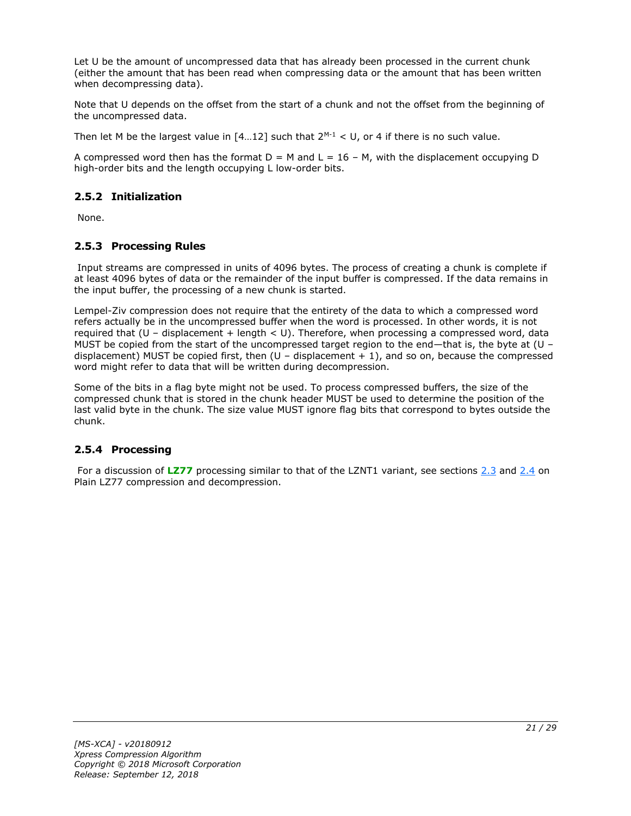Let U be the amount of uncompressed data that has already been processed in the current chunk (either the amount that has been read when compressing data or the amount that has been written when decompressing data).

Note that U depends on the offset from the start of a chunk and not the offset from the beginning of the uncompressed data.

Then let M be the largest value in  $[4...12]$  such that  $2^{M-1} < U$ , or 4 if there is no such value.

A compressed word then has the format  $D = M$  and  $L = 16 - M$ , with the displacement occupying D high-order bits and the length occupying L low-order bits.

# <span id="page-20-0"></span>**2.5.2 Initialization**

None.

### <span id="page-20-1"></span>**2.5.3 Processing Rules**

Input streams are compressed in units of 4096 bytes. The process of creating a chunk is complete if at least 4096 bytes of data or the remainder of the input buffer is compressed. If the data remains in the input buffer, the processing of a new chunk is started.

Lempel-Ziv compression does not require that the entirety of the data to which a compressed word refers actually be in the uncompressed buffer when the word is processed. In other words, it is not required that  $(U -$  displacement + length  $U$ . Therefore, when processing a compressed word, data MUST be copied from the start of the uncompressed target region to the end—that is, the byte at (U – displacement) MUST be copied first, then  $(U -$  displacement  $+ 1)$ , and so on, because the compressed word might refer to data that will be written during decompression.

Some of the bits in a flag byte might not be used. To process compressed buffers, the size of the compressed chunk that is stored in the chunk header MUST be used to determine the position of the last valid byte in the chunk. The size value MUST ignore flag bits that correspond to bytes outside the chunk.

#### <span id="page-20-2"></span>**2.5.4 Processing**

For a discussion of [LZ77](#page-4-4) processing similar to that of the LZNT1 variant, see sections [2.3](#page-14-0) and [2.4](#page-15-0) on Plain LZ77 compression and decompression.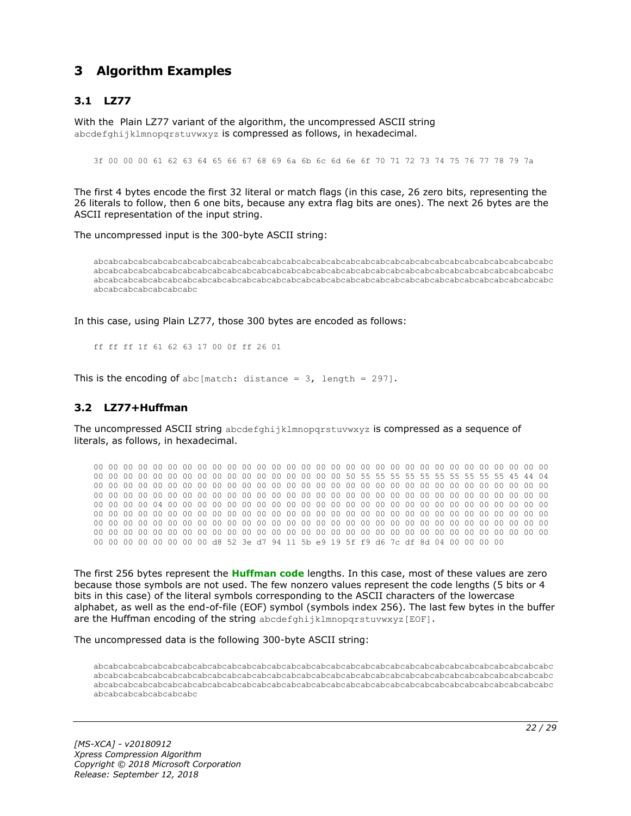# <span id="page-21-0"></span>**3 Algorithm Examples**

# <span id="page-21-1"></span>**3.1 LZ77**

With the Plain LZ77 variant of the algorithm, the uncompressed ASCII string abcdefghijklmnopgrstuvwxyz is compressed as follows, in hexadecimal.

3f 00 00 00 61 62 63 64 65 66 67 68 69 6a 6b 6c 6d 6e 6f 70 71 72 73 74 75 76 77 78 79 7a

The first 4 bytes encode the first 32 literal or match flags (in this case, 26 zero bits, representing the 26 literals to follow, then 6 one bits, because any extra flag bits are ones). The next 26 bytes are the ASCII representation of the input string.

The uncompressed input is the 300-byte ASCII string:

abcabcabcabcabcabcabcabcabcabcabcabcabcabcabcabcabcabcabcabcabcabcabcabcabcabcabcabcabcabcabc abcabcabcabcabcabcabcabcabcabcabcabcabcabcabcabcabcabcabcabcabcabcabcabcabcabcabcabcabcabcabc abcabcabcabcabcabcabcabcabcabcabcabcabcabcabcabcabcabcabcabcabcabcabcabcabcabcabcabcabcabcabc abcabcabcabcabcabcabc

In this case, using Plain LZ77, those 300 bytes are encoded as follows:

ff ff ff 1f 61 62 63 17 00 0f ff 26 01

This is the encoding of abc [match: distance =  $3$ , length = 297].

#### <span id="page-21-2"></span>**3.2 LZ77+Huffman**

The uncompressed ASCII string abcdefghijklmnopqrstuvwxyz is compressed as a sequence of literals, as follows, in hexadecimal.

00 00 00 00 00 00 00 00 00 00 00 00 00 00 00 00 00 00 00 00 00 00 00 00 00 00 00 00 00 00 00 00 00 00 00 00 00 00 00 00 00 00 00 00 00 00 00 00 50 55 55 55 55 55 55 55 55 55 55 45 44 04 00 00 00 00 00 00 00 00 00 00 00 00 00 00 00 00 00 00 00 00 00 00 00 00 00 00 00 00 00 00 00 00 00 00 00 00 00 00 00 00 00 00 00 00 00 00 00 00 00 00 00 00 00 00 00 00 00 00 00 00 00 00 00 00 00 00 04 00 00 00 00 00 00 00 00 00 00 00 00 00 00 00 00 00 00 00 00 00 00 00 00 00 00 00 00 00 00 00 00 00 00 00 00 00 00 00 00 00 00 00 00 00 00 00 00 00 00 00 00 00 00 00 00 00 00 00 00 00 00 00 00 00 00 00 00 00 00 00 00 00 00 00 00 00 00 00 00 00 00 00 00 00 00 00 00 00 00 00 00 00 00 00 00 00 00 00 00 00 00 00 00 00 00 00 00 00 00 00 00 00 00 00 00 00 00 00 00 00 00 00 00 00 00 00 d8 52 3e d7 94 11 5b e9 19 5f f9 d6 7c df 8d 04 00 00 00 00

The first 256 bytes represent the **[Huffman code](#page-4-8)** lengths. In this case, most of these values are zero because those symbols are not used. The few nonzero values represent the code lengths (5 bits or 4 bits in this case) of the literal symbols corresponding to the ASCII characters of the lowercase alphabet, as well as the end-of-file (EOF) symbol (symbols index 256). The last few bytes in the buffer are the Huffman encoding of the string abcdefghijklmnopgrstuvwxyz[EOF].

The uncompressed data is the following 300-byte ASCII string:

abcabcabcabcabcabcabcabcabcabcabcabcabcabcabcabcabcabcabcabcabcabcabcabcabcabcabcabcabcabcabc abcabcabcabcabcabcabcabcabcabcabcabcabcabcabcabcabcabcabcabcabcabcabcabcabcabcabcabcabcabcabc abcabcabcabcabcabcabcabcabcabcabcabcabcabcabcabcabcabcabcabcabcabcabcabcabcabcabcabcabcabcabc abcabcabcabcabcabcabc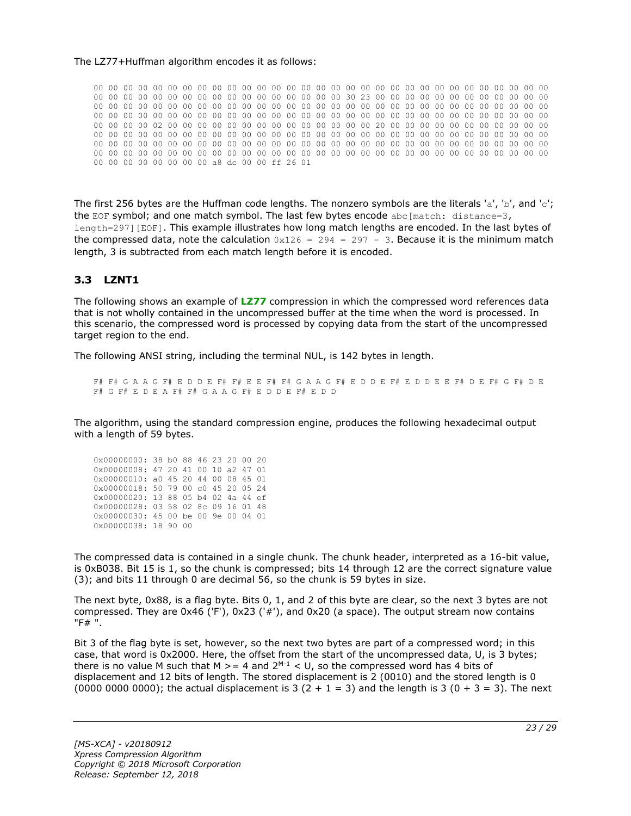#### The LZ77+Huffman algorithm encodes it as follows:

00 00 00 00 00 00 00 00 00 00 00 00 00 00 00 00 00 00 00 00 00 00 00 00 00 00 00 00 00 00 00 00 00 00 00 00 00 00 00 00 00 00 00 00 00 00 00 00 30 23 00 00 00 00 00 00 00 00 00 00 00 00 00 00 00 00 00 00 00 00 00 00 00 00 00 00 00 00 00 00 00 00 00 00 00 00 00 00 00 00 00 00 00 00 00 00 00 00 00 00 00 00 00 00 00 00 00 00 00 00 00 00 00 00 00 00 00 00 00 00 00 00 00 00 00 00 00 00 02 00 00 00 00 00 00 00 00 00 00 00 00 00 00 20 00 00 00 00 00 00 00 00 00 00 00 00 00 00 00 00 00 00 00 00 00 00 00 00 00 00 00 00 00 00 00 00 00 00 00 00 00 00 00 00 00 00 00 00 00 00 00 00 00 00 00 00 00 00 00 00 00 00 00 00 00 00 00 00 00 00 00 00 00 00 00 00 00 00 00 00 00 00 00 00 00 00 00 00 00 00 00 00 00 00 00 00 00 00 00 00 00 00 00 00 00 00 00 00 00 00 00 00 00 00 00 00 a8 dc 00 00 ff 26 01

The first 256 bytes are the Huffman code lengths. The nonzero symbols are the literals 'a', 'b', and 'c'; the EOF symbol; and one match symbol. The last few bytes encode abc[match: distance=3, length=297][EOF]. This example illustrates how long match lengths are encoded. In the last bytes of the compressed data, note the calculation  $0x126 = 294 = 297 - 3$ . Because it is the minimum match length, 3 is subtracted from each match length before it is encoded.

#### <span id="page-22-0"></span>**3.3 LZNT1**

The following shows an example of **[LZ77](#page-4-4)** compression in which the compressed word references data that is not wholly contained in the uncompressed buffer at the time when the word is processed. In this scenario, the compressed word is processed by copying data from the start of the uncompressed target region to the end.

The following ANSI string, including the terminal NUL, is 142 bytes in length.

F# F# G A A G F# E D D E F# F# E E F# F# G A A G F# E D D E F# E D D E E F# D E F# G F# D E F# G F# E D E A F# F# G A A G F# E D D E F# E D D

The algorithm, using the standard compression engine, produces the following hexadecimal output with a length of 59 bytes.

| 0x00000000: 38 b0 88 46 23 20 00 20 |  |  |  |  |
|-------------------------------------|--|--|--|--|
| 0x00000008: 47 20 41 00 10 a2 47 01 |  |  |  |  |
| 0x00000010: a0 45 20 44 00 08 45 01 |  |  |  |  |
| 0x00000018: 50 79 00 c0 45 20 05 24 |  |  |  |  |
| 0x00000020: 13 88 05 b4 02 4a 44 ef |  |  |  |  |
| 0x00000028: 03 58 02 8c 09 16 01 48 |  |  |  |  |
| 0x00000030: 45 00 be 00 9e 00 04 01 |  |  |  |  |
| 0x00000038: 18 90 00                |  |  |  |  |

The compressed data is contained in a single chunk. The chunk header, interpreted as a 16-bit value, is 0xB038. Bit 15 is 1, so the chunk is compressed; bits 14 through 12 are the correct signature value (3); and bits 11 through 0 are decimal 56, so the chunk is 59 bytes in size.

The next byte, 0x88, is a flag byte. Bits 0, 1, and 2 of this byte are clear, so the next 3 bytes are not compressed. They are 0x46 ('F'), 0x23 ('#'), and 0x20 (a space). The output stream now contains "F# ".

Bit 3 of the flag byte is set, however, so the next two bytes are part of a compressed word; in this case, that word is 0x2000. Here, the offset from the start of the uncompressed data, U, is 3 bytes; there is no value M such that M  $> = 4$  and  $2^{M-1} < U$ , so the compressed word has 4 bits of displacement and 12 bits of length. The stored displacement is 2 (0010) and the stored length is 0 (0000 0000 0000); the actual displacement is 3 (2 + 1 = 3) and the length is 3 (0 + 3 = 3). The next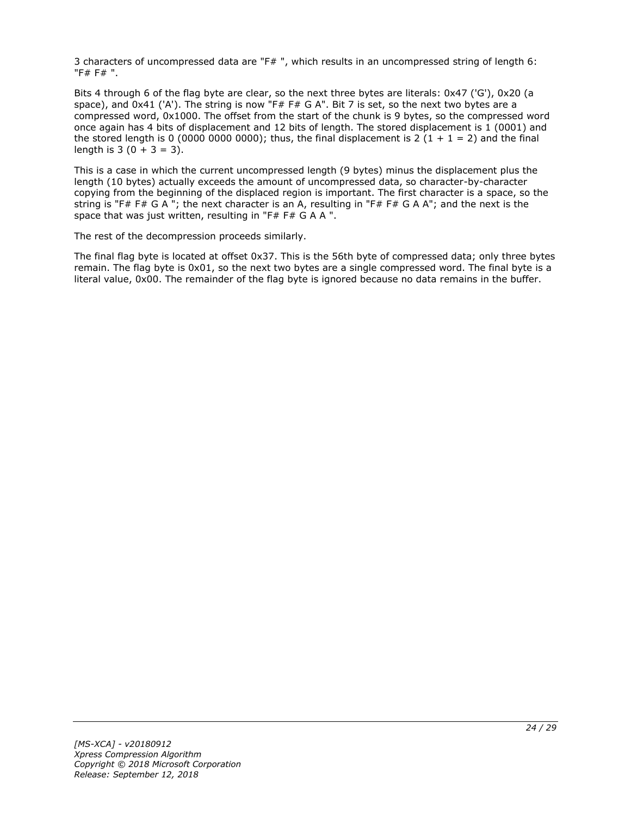3 characters of uncompressed data are "F# ", which results in an uncompressed string of length 6: "F# F# ".

Bits 4 through 6 of the flag byte are clear, so the next three bytes are literals: 0x47 ('G'), 0x20 (a space), and 0x41 ('A'). The string is now "F# F# G A". Bit 7 is set, so the next two bytes are a compressed word, 0x1000. The offset from the start of the chunk is 9 bytes, so the compressed word once again has 4 bits of displacement and 12 bits of length. The stored displacement is 1 (0001) and the stored length is 0 (0000 0000 0000); thus, the final displacement is 2 (1 + 1 = 2) and the final length is  $3(0 + 3 = 3)$ .

This is a case in which the current uncompressed length (9 bytes) minus the displacement plus the length (10 bytes) actually exceeds the amount of uncompressed data, so character-by-character copying from the beginning of the displaced region is important. The first character is a space, so the string is "F# F# G A "; the next character is an A, resulting in "F# F# G A A"; and the next is the space that was just written, resulting in "F# F# G A A ".

The rest of the decompression proceeds similarly.

The final flag byte is located at offset 0x37. This is the 56th byte of compressed data; only three bytes remain. The flag byte is 0x01, so the next two bytes are a single compressed word. The final byte is a literal value, 0x00. The remainder of the flag byte is ignored because no data remains in the buffer.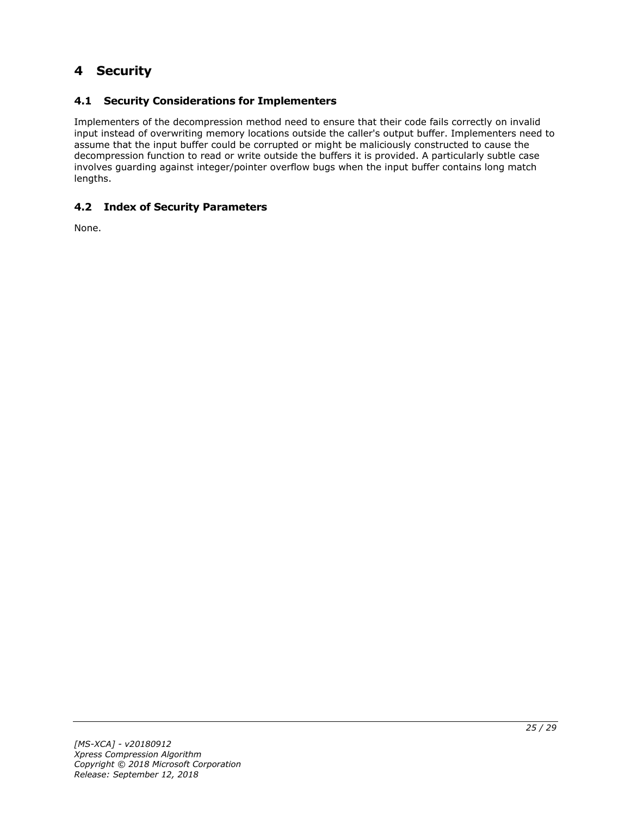# <span id="page-24-0"></span>**4 Security**

# <span id="page-24-1"></span>**4.1 Security Considerations for Implementers**

Implementers of the decompression method need to ensure that their code fails correctly on invalid input instead of overwriting memory locations outside the caller's output buffer. Implementers need to assume that the input buffer could be corrupted or might be maliciously constructed to cause the decompression function to read or write outside the buffers it is provided. A particularly subtle case involves guarding against integer/pointer overflow bugs when the input buffer contains long match lengths.

# <span id="page-24-2"></span>**4.2 Index of Security Parameters**

None.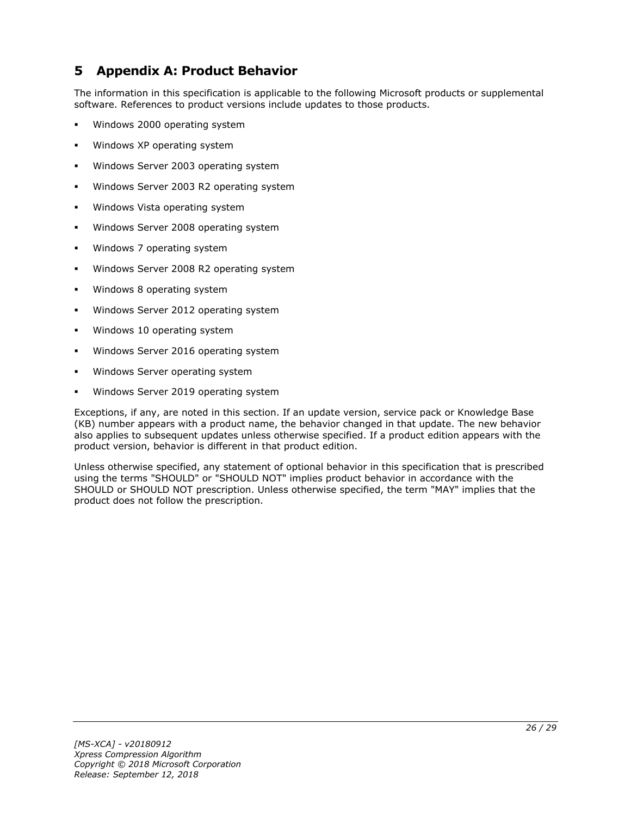# <span id="page-25-0"></span>**5 Appendix A: Product Behavior**

The information in this specification is applicable to the following Microsoft products or supplemental software. References to product versions include updates to those products.

- Windows 2000 operating system
- Windows XP operating system
- Windows Server 2003 operating system
- Windows Server 2003 R2 operating system
- Windows Vista operating system
- Windows Server 2008 operating system
- Windows 7 operating system
- Windows Server 2008 R2 operating system
- Windows 8 operating system
- Windows Server 2012 operating system
- Windows 10 operating system
- Windows Server 2016 operating system
- Windows Server operating system
- Windows Server 2019 operating system

Exceptions, if any, are noted in this section. If an update version, service pack or Knowledge Base (KB) number appears with a product name, the behavior changed in that update. The new behavior also applies to subsequent updates unless otherwise specified. If a product edition appears with the product version, behavior is different in that product edition.

Unless otherwise specified, any statement of optional behavior in this specification that is prescribed using the terms "SHOULD" or "SHOULD NOT" implies product behavior in accordance with the SHOULD or SHOULD NOT prescription. Unless otherwise specified, the term "MAY" implies that the product does not follow the prescription.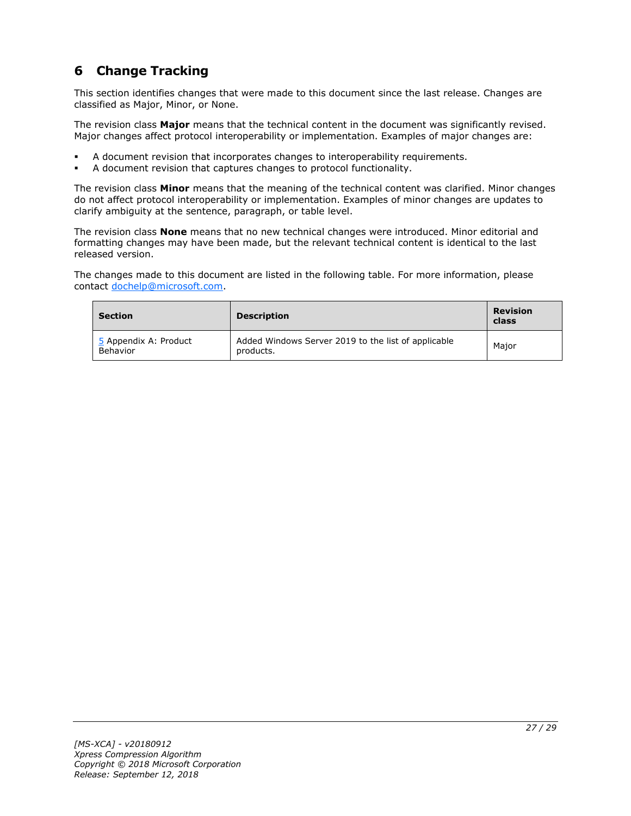# <span id="page-26-0"></span>**6 Change Tracking**

This section identifies changes that were made to this document since the last release. Changes are classified as Major, Minor, or None.

The revision class **Major** means that the technical content in the document was significantly revised. Major changes affect protocol interoperability or implementation. Examples of major changes are:

- A document revision that incorporates changes to interoperability requirements.
- A document revision that captures changes to protocol functionality.

The revision class **Minor** means that the meaning of the technical content was clarified. Minor changes do not affect protocol interoperability or implementation. Examples of minor changes are updates to clarify ambiguity at the sentence, paragraph, or table level.

The revision class **None** means that no new technical changes were introduced. Minor editorial and formatting changes may have been made, but the relevant technical content is identical to the last released version.

The changes made to this document are listed in the following table. For more information, please contact [dochelp@microsoft.com.](mailto:dochelp@microsoft.com)

| <b>Section</b>                    | <b>Description</b>                                               | <b>Revision</b><br>class |  |
|-----------------------------------|------------------------------------------------------------------|--------------------------|--|
| 5 Appendix A: Product<br>Behavior | Added Windows Server 2019 to the list of applicable<br>products. | Major                    |  |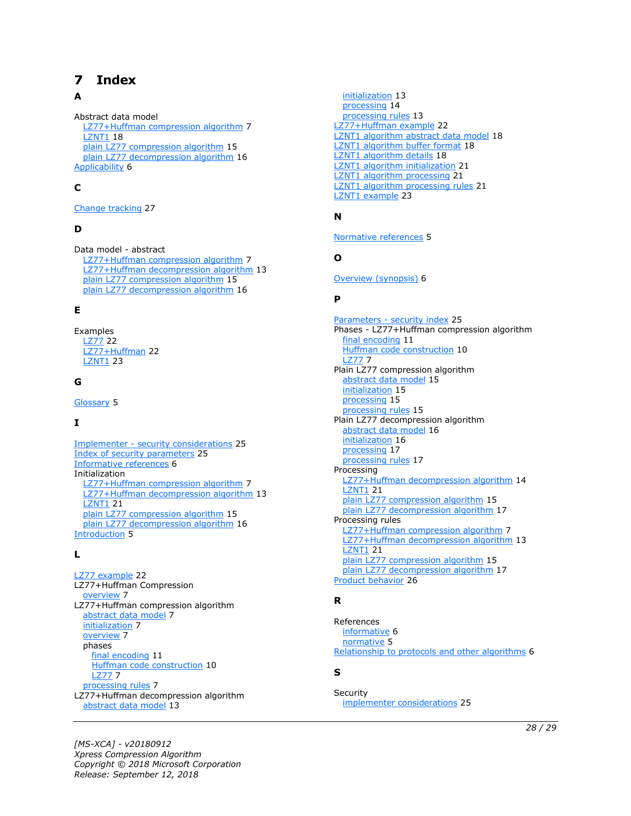# <span id="page-27-0"></span>**7 Index**

### **A**

Abstract data model [LZ77+Huffman compression algorithm](#page-6-2) 7 **[LZNT1](#page-17-1) 18**  [plain LZ77 compression algorithm](#page-14-1) 15 [plain LZ77 decompression algorithm](#page-15-1) 16 [Applicability](#page-5-3) 6

# **C**

[Change tracking](#page-26-0) 27

### **D**

Data model - abstract [LZ77+Huffman compression algorithm](#page-6-2) 7 [LZ77+Huffman decompression algorithm](#page-12-1) 13 [plain LZ77 compression algorithm](#page-14-1) 15 [plain LZ77 decompression algorithm](#page-15-1) 16

#### **E**

Examples [LZ77](#page-21-1) 22 [LZ77+Huffman](#page-21-2) 22 [LZNT1](#page-22-0) 23

### **G**

[Glossary](#page-4-1) 5

# **I**

Implementer - [security considerations](#page-24-1) 25 [Index of security parameters](#page-24-2) 25 [Informative references](#page-5-0) 6 Initialization [LZ77+Huffman compression algorithm](#page-6-3) 7 [LZ77+Huffman decompression algorithm](#page-12-2) 13 [LZNT1](#page-20-0) 21 [plain LZ77 compression algorithm](#page-14-2) 15 [plain LZ77 decompression algorithm](#page-15-2) 16 [Introduction](#page-4-0) 5

#### **L**

[LZ77 example](#page-21-1) 22 LZ77+Huffman Compression [overview](#page-6-1) 7 LZ77+Huffman compression algorithm [abstract data model](#page-6-2) 7 [initialization](#page-6-3) 7 [overview](#page-6-1) 7 phases [final encoding](#page-10-0) 11 [Huffman code construction](#page-9-0) 10 [LZ77](#page-6-6) 7 [processing rules](#page-6-4) 7 LZ77+Huffman decompression algorithm [abstract data model](#page-12-1) 13

 [initialization](#page-12-2) 13 [processing](#page-13-0) 14 [processing rules](#page-12-3) 13 [LZ77+Huffman example](#page-21-2)[LZNT1 algorithm abstract data model](#page-17-1)[LZNT1 algorithm buffer format](#page-17-2)[LZNT1 algorithm details](#page-17-0)[LZNT1 algorithm initialization](#page-20-0)[LZNT1 algorithm processing](#page-20-2)[LZNT1 algorithm processing rules](#page-20-1)[LZNT1 example](#page-22-0) 23

#### **N**

[Normative references](#page-4-3) 5

#### **O**

[Overview \(synopsis\)](#page-5-1) 6

#### **P**

Parameters - [security index](#page-24-2) 25 Phases - LZ77+Huffman compression algorithm [final encoding](#page-10-0) 11 [Huffman code construction](#page-9-0) 10 [LZ77](#page-6-6) 7 Plain LZ77 compression algorithm [abstract data model](#page-14-1) 15 [initialization](#page-14-2) 15 [processing](#page-14-4) 15 [processing rules](#page-14-3) 15 Plain LZ77 decompression algorithm [abstract data model](#page-15-1) 16 [initialization](#page-15-2) 16 [processing](#page-16-1) 17 [processing rules](#page-16-0) 17 Processing [LZ77+Huffman decompression algorithm](#page-13-0) 14 [LZNT1](#page-20-2) 21 [plain LZ77 compression algorithm](#page-14-4) 15 [plain LZ77 decompression algorithm](#page-16-1) 17 Processing rules [LZ77+Huffman compression algorithm](#page-6-4) 7 [LZ77+Huffman decompression algorithm](#page-12-3) 13 **[LZNT1](#page-20-1) 21**  [plain LZ77 compression algorithm](#page-14-3) 15 [plain LZ77 decompression algorithm](#page-16-0) 17 [Product behavior](#page-25-0) 26

#### **R**

References [informative](#page-5-0) 6 [normative](#page-4-3) 5 [Relationship to protocols and other algorithms](#page-5-2) 6

#### **S**

**Security** [implementer considerations](#page-24-1) 25

*[MS-XCA] - v20180912 Xpress Compression Algorithm Copyright © 2018 Microsoft Corporation Release: September 12, 2018*